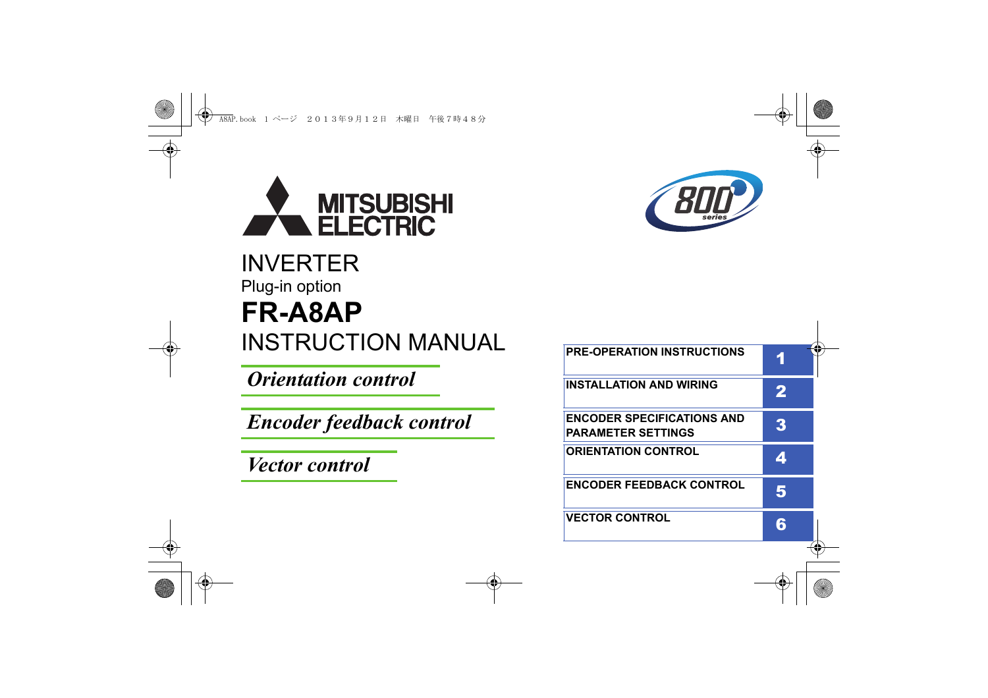

## INVERTER Plug-in option **INSTRUCTION MANUAL FR-A8AP**

*Orientation control*

*Encoder feedback control*

*Vector control*



| <b>PRE-OPERATION INSTRUCTIONS</b>                              |   |
|----------------------------------------------------------------|---|
| <b>INSTALLATION AND WIRING</b>                                 | 2 |
| <b>ENCODER SPECIFICATIONS AND</b><br><b>PARAMETER SETTINGS</b> | 3 |
| <b>ORIENTATION CONTROL</b>                                     |   |
| <b>ENCODER FEEDBACK CONTROL</b>                                | 5 |
| <b>VECTOR CONTROL</b>                                          |   |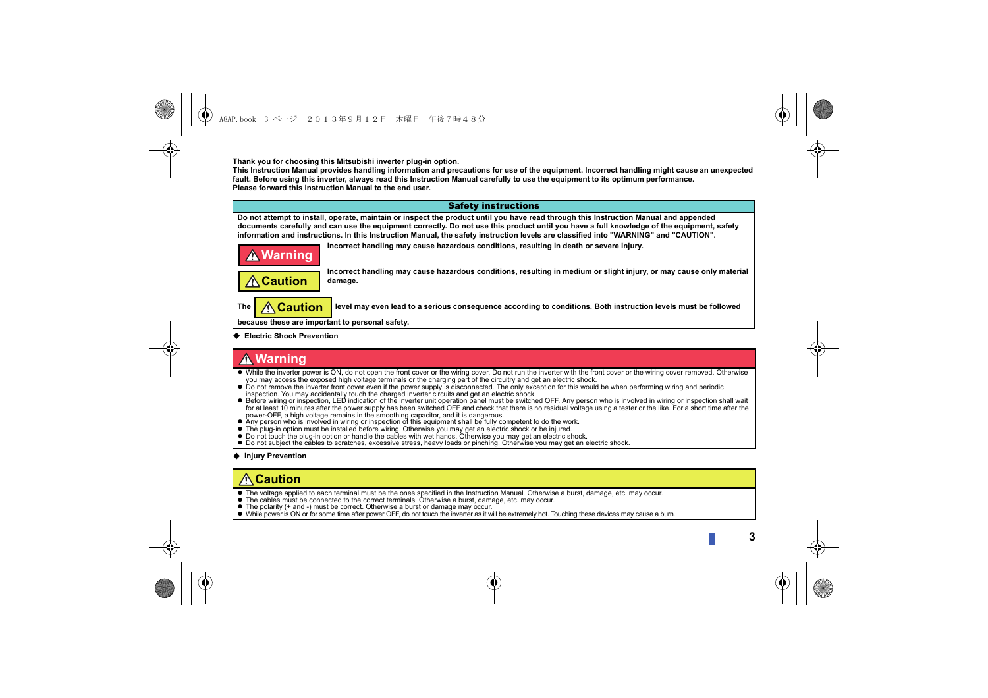**Thank you for choosing this Mitsubishi inverter plug-in option.**

**This Instruction Manual provides handling information and precautions for use of the equipment. Incorrect handling might cause an unexpected fault. Before using this inverter, always read this Instruction Manual carefully to use the equipment to its optimum performance. Please forward this Instruction Manual to the end user.**



**Electric Shock Prevention**

### **Warning**

- While the inverter power is ON, do not open the front cover or the wiring cover. Do not run the inverter with the front cover or the wiring cover removed. Otherwise you may access the exposed high voltage terminals or the charging part of the circuitry and get an electric shock.
- Do not remove the inverter front cover even if the power supply is disconnected. The only exception for this would be when performing wiring and periodic inspection. You may accidentally touch the charged inverter circuits and get an electric shock.
- Before wiring or inspection, LED indication of the inverter unit operation panel must be switched OFF. Any person who is involved in wiring or inspection shall wait for at least 10 minutes after the power supply has been switched OFF and check that there is no residual voltage using a tester or the like. For a short time after the power-OFF, a high voltage remains in the smoothing capacitor, and it is dangerous.
- Any person who is involved in wiring or inspection of this equipment shall be fully competent to do the work.
- The plug-in option must be installed before wiring. Otherwise you may get an electric shock or be injured.
- Do not touch the plug-in option or handle the cables with wet hands. Otherwise you may get an electric shock.
- Do not subject the cables to scratches, excessive stress, heavy loads or pinching. Otherwise you may get an electric shock.

#### **Injury Prevention**

## **Caution**

- The voltage applied to each terminal must be the ones specified in the Instruction Manual. Otherwise a burst, damage, etc. may occur.
- The cables must be connected to the correct terminals. Otherwise a burst, damage, etc. may occur.
- The polarity (+ and -) must be correct. Otherwise a burst or damage may occur.
- While power is ON or for some time after power OFF, do not touch the inverter as it will be extremely hot. Touching these devices may cause a burn.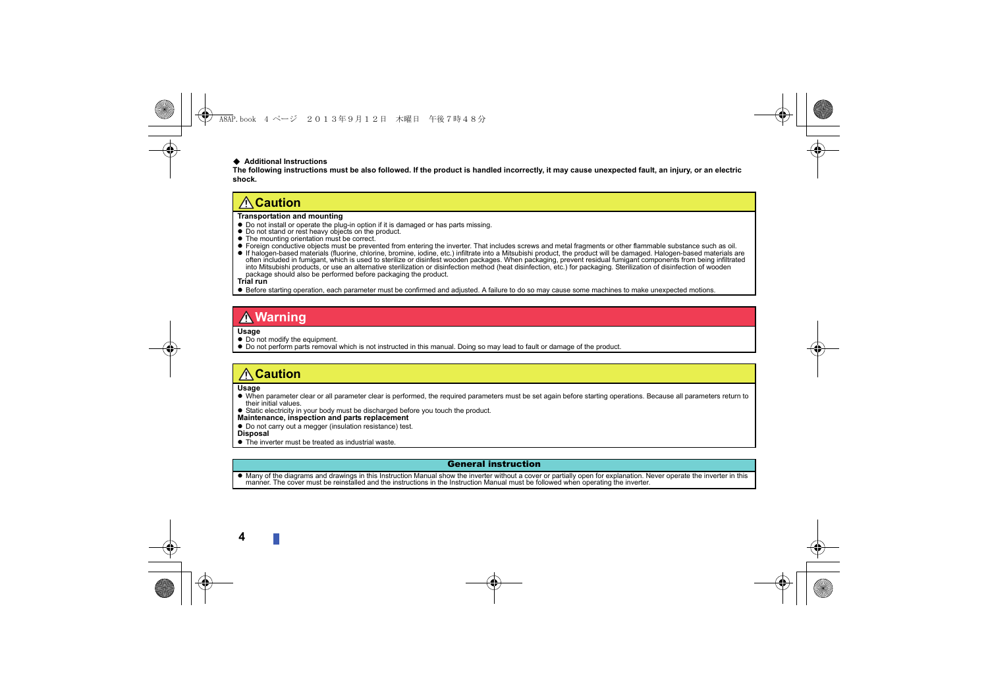#### **Additional Instructions**

**The following instructions must be also followed. If the product is handled incorrectly, it may cause unexpected fault, an injury, or an electric shock.**

#### **Caution**

- **Transportation and mounting**<br>• Do not install or operate the plug-in option if it is damaged or has parts missing.
- 
- 
- Do not stand or rest heavy objects on the product.<br>● The mounting orientation must be correct.<br>● Foreign conductive objects must be prevented from entering the inverter. That includes screws and metal fragments or other
- often included in fumigant, which is used to sterilize or disinfest wooden packages. When packaging, prevent residual fumigant components from being infiltrated into Mitsubishi products, or use an alternative sterilization or disinfection method (heat disinfection, etc.) for packaging. Sterilization of disinfection of wooden<br>package should also be performed before packaging the pr

**Trial run**

Before starting operation, each parameter must be confirmed and adjusted. A failure to do so may cause some machines to make unexpected motions.

#### **Warning**

**Usage**

- $\bullet$  Do not modify the equipment.
- Do not perform parts removal which is not instructed in this manual. Doing so may lead to fault or damage of the product.

#### **Caution**

**Usage**

 When parameter clear or all parameter clear is performed, the required parameters must be set again before starting operations. Because all parameters return to their initial values.

• Static electricity in your body must be discharged before you touch the product.

**Maintenance, inspection and parts replacement**

- Do not carry out a megger (insulation resistance) test. **Disposal**
- The inverter must be treated as industrial waste.

#### General instruction

 Many of the diagrams and drawings in this Instruction Manual show the inverter without a cover or partially open for explanation. Never operate the inverter in this manner. The cover must be reinstalled and the instructions in the Instruction Manual must be followed when operating the inverter.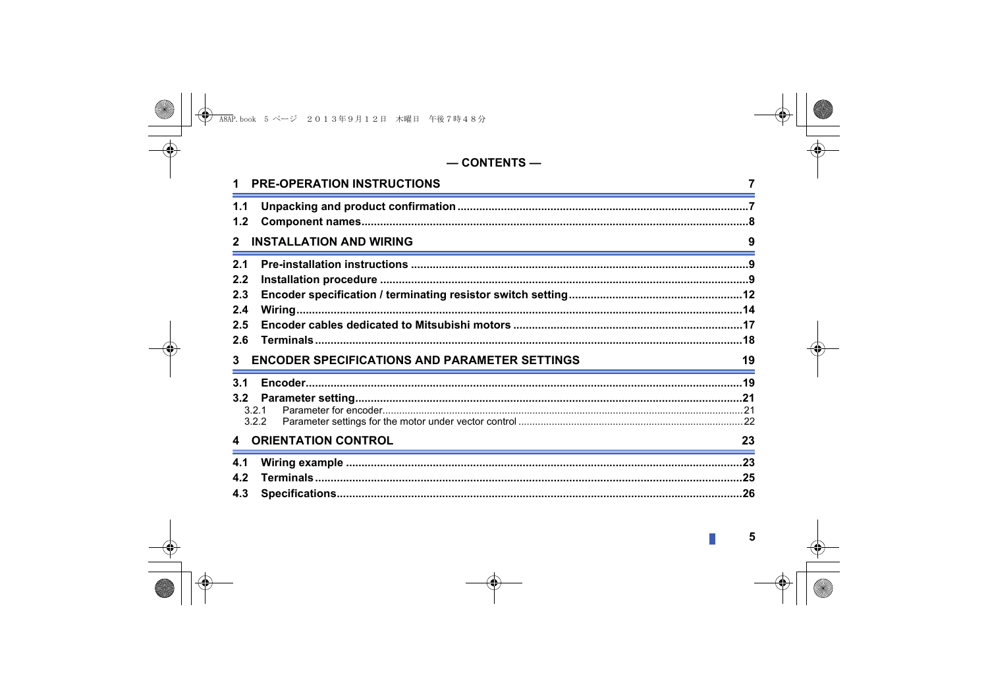#### $-$  CONTENTS  $-$

| <b>PRE-OPERATION INSTRUCTIONS</b>                         |    |
|-----------------------------------------------------------|----|
| 1.1<br>1.2                                                |    |
| <b>INSTALLATION AND WIRING</b>                            | 9  |
| 2.1                                                       |    |
| 2.2                                                       |    |
| 2.3                                                       |    |
| 2.4                                                       |    |
| 2.5                                                       |    |
| 2.6                                                       |    |
| <b>ENCODER SPECIFICATIONS AND PARAMETER SETTINGS</b><br>3 | 19 |
| 3.1                                                       |    |
| 3.2                                                       |    |
| 3.2.1                                                     |    |
| 3.2.2                                                     |    |
| <b>ORIENTATION CONTROL</b><br>4                           | 23 |
| 4.1                                                       |    |
| 4.2                                                       |    |
| 4.3                                                       |    |

 $\mathbb{R}^2$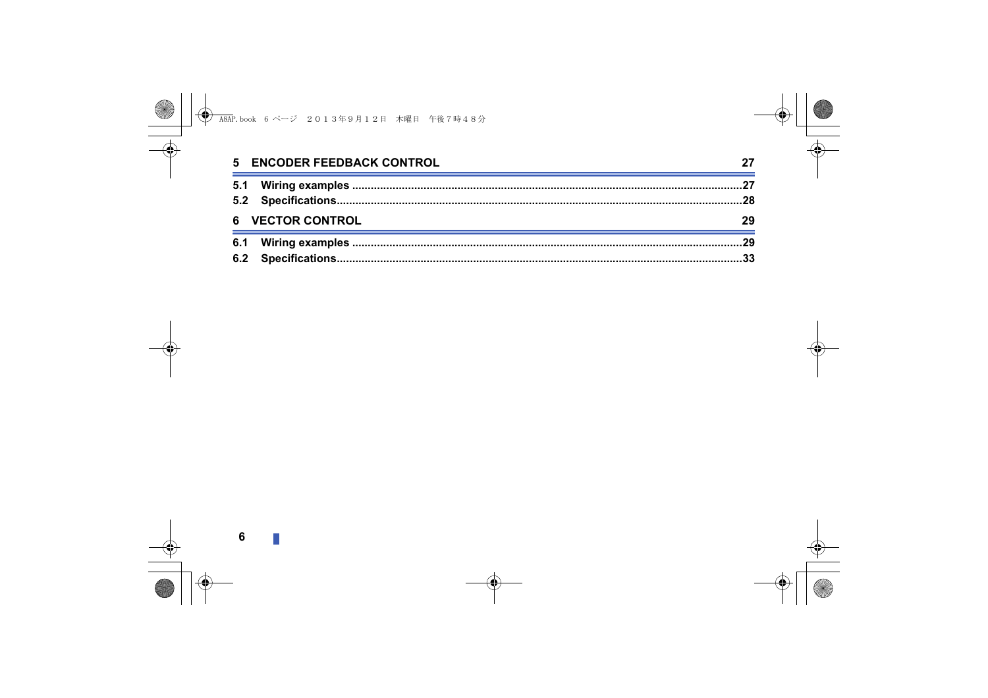| 5 ENCODER FEEDBACK CONTROL |  |
|----------------------------|--|
|                            |  |
|                            |  |
| 6 VECTOR CONTROL           |  |
|                            |  |
|                            |  |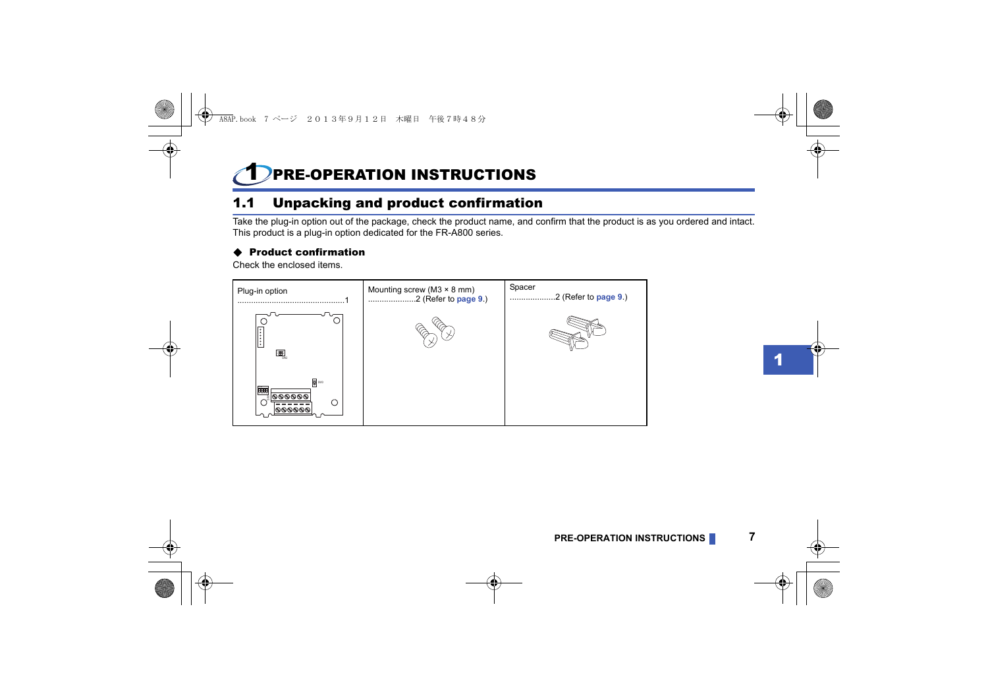## <span id="page-5-1"></span><span id="page-5-0"></span>PRE-OPERATION INSTRUCTIONS

## <span id="page-5-2"></span>1.1 Unpacking and product confirmation

Take the plug-in option out of the package, check the product name, and confirm that the product is as you ordered and intact. This product is a plug-in option dedicated for the FR-A800 series.

#### ♦ Product confirmation

Check the enclosed items.

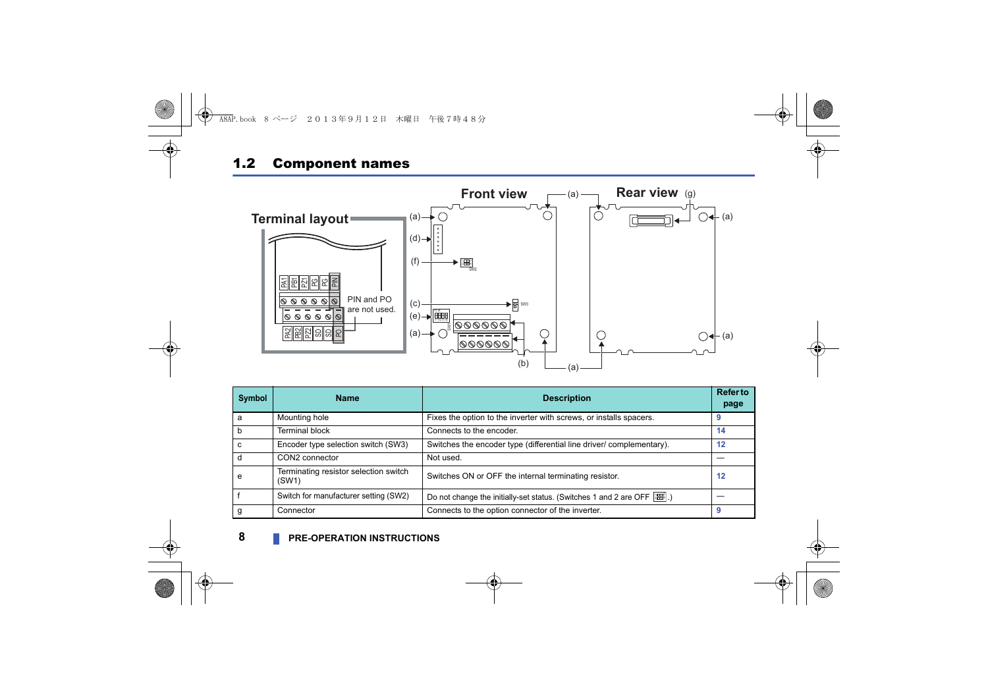### <span id="page-6-0"></span>1.2 Component names



| Symbol | <b>Name</b>                                    | <b>Description</b>                                                                 | <b>Refer to</b><br>page |
|--------|------------------------------------------------|------------------------------------------------------------------------------------|-------------------------|
| a      | Mounting hole                                  | Fixes the option to the inverter with screws, or installs spacers.                 |                         |
|        | <b>Terminal block</b>                          | Connects to the encoder.                                                           | 14                      |
|        | Encoder type selection switch (SW3)            | Switches the encoder type (differential line driver/ complementary).               | 12                      |
|        | CON2 connector                                 | Not used.                                                                          |                         |
| e      | Terminating resistor selection switch<br>(SW1) | Switches ON or OFF the internal terminating resistor.                              | 12                      |
|        | Switch for manufacturer setting (SW2)          | Do not change the initially-set status. (Switches 1 and 2 are OFF $\frac{1}{2}$ .) |                         |
|        | Connector                                      | Connects to the option connector of the inverter.                                  |                         |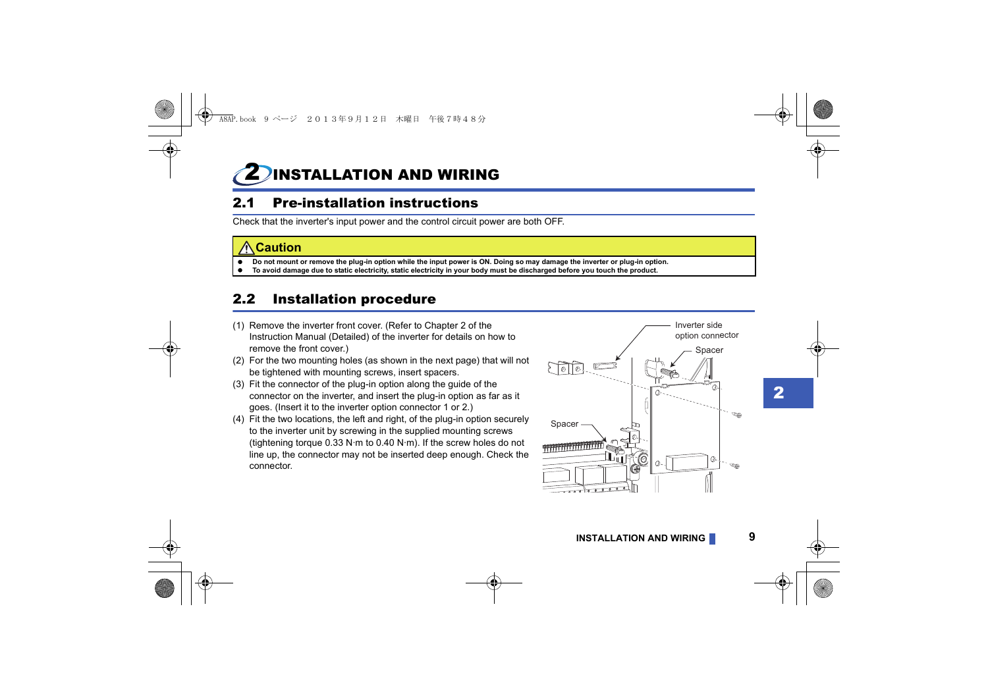<span id="page-7-1"></span><span id="page-7-0"></span>**INSTALLATION AND WIRING** 

## <span id="page-7-2"></span>2.1 Pre-installation instructions

Check that the inverter's input power and the control circuit power are both OFF.

#### **Caution**

- **Do not mount or remove the plug-in option while the input power is ON. Doing so may damage the inverter or plug-in option.**
- **To avoid damage due to static electricity, static electricity in your body must be discharged before you touch the product.**

## <span id="page-7-3"></span>2.2 Installation procedure

- (1) Remove the inverter front cover. (Refer to Chapter 2 of the Instruction Manual (Detailed) of the inverter for details on how to remove the front cover.)
- (2) For the two mounting holes (as shown in the next page) that will not be tightened with mounting screws, insert spacers.
- (3) Fit the connector of the plug-in option along the guide of the connector on the inverter, and insert the plug-in option as far as it goes. (Insert it to the inverter option connector 1 or 2.)
- (4) Fit the two locations, the left and right, of the plug-in option securely to the inverter unit by screwing in the supplied mounting screws (tightening torque 0.33 N·m to 0.40 N·m). If the screw holes do not line up, the connector may not be inserted deep enough. Check the connector.



2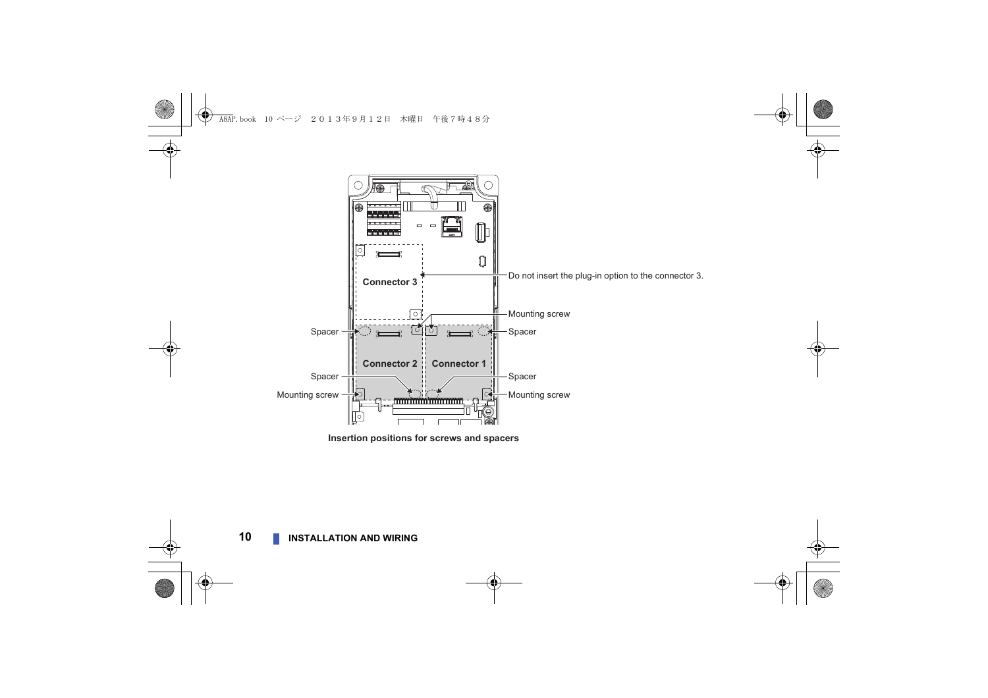<span id="page-8-0"></span>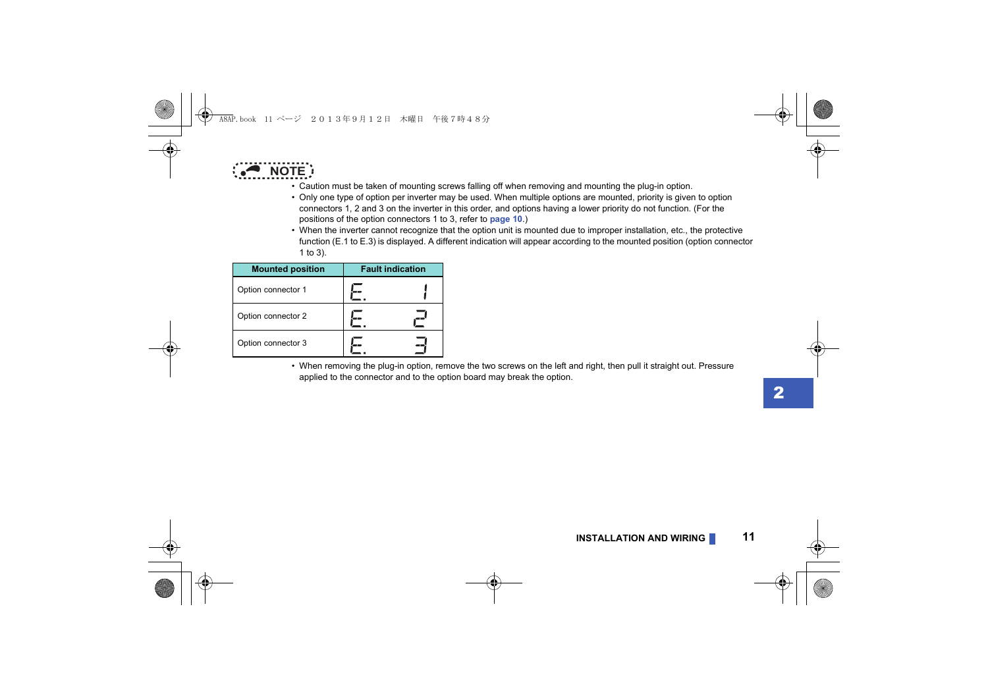

- Caution must be taken of mounting screws falling off when removing and mounting the plug-in option.
- Only one type of option per inverter may be used. When multiple options are mounted, priority is given to option connectors 1, 2 and 3 on the inverter in this order, and options having a lower priority do not function. (For the positions of the option connectors 1 to 3, refer to **[page 10](#page-8-0)**.)
- When the inverter cannot recognize that the option unit is mounted due to improper installation, etc., the protective function (E.1 to E.3) is displayed. A different indication will appear according to the mounted position (option connector 1 to 3).

| <b>Mounted position</b> | <b>Fault indication</b> |
|-------------------------|-------------------------|
| Option connector 1      |                         |
| Option connector 2      |                         |
| Option connector 3      |                         |

 • When removing the plug-in option, remove the two screws on the left and right, then pull it straight out. Pressure applied to the connector and to the option board may break the option.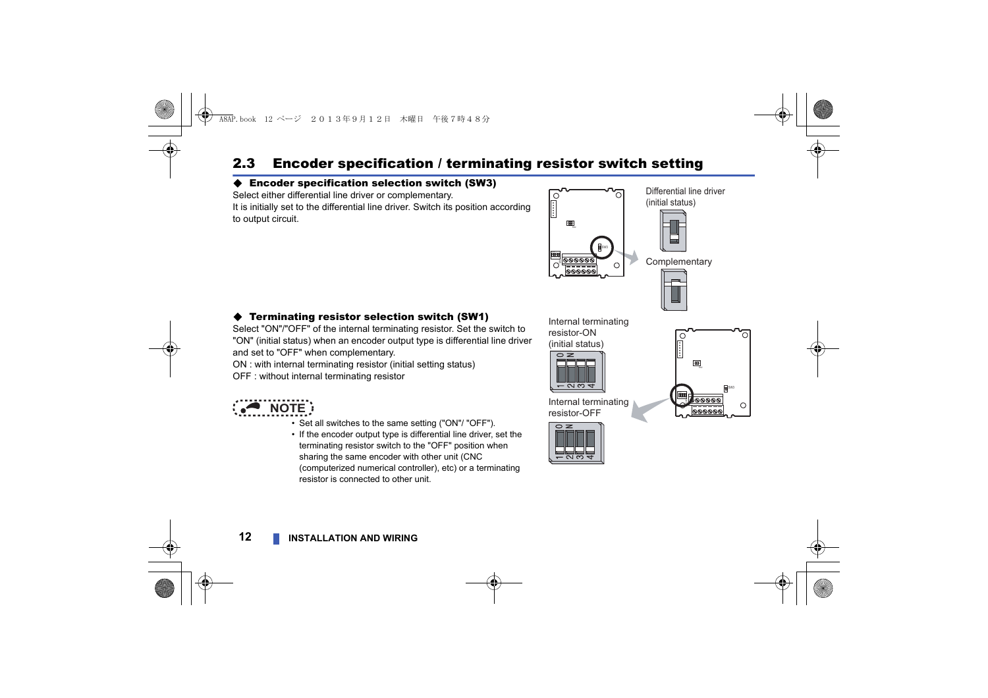## <span id="page-10-1"></span><span id="page-10-0"></span>2.3 Encoder specification / terminating resistor switch setting

#### Encoder specification selection switch (SW3)

Select either differential line driver or complementary. It is initially set to the differential line driver. Switch its position according to output circuit.



#### Terminating resistor selection switch (SW1)

Select "ON"/"OFF" of the internal terminating resistor. Set the switch to "ON" (initial status) when an encoder output type is differential line driver and set to "OFF" when complementary.

ON : with internal terminating resistor (initial setting status) OFF : without internal terminating resistor



- Set all switches to the same setting ("ON"/ "OFF").
- If the encoder output type is differential line driver, set the terminating resistor switch to the "OFF" position when sharing the same encoder with other unit (CNC (computerized numerical controller), etc) or a terminating resistor is connected to other unit.

resistor-ON (initial status)



Internal terminating resistor-OFF



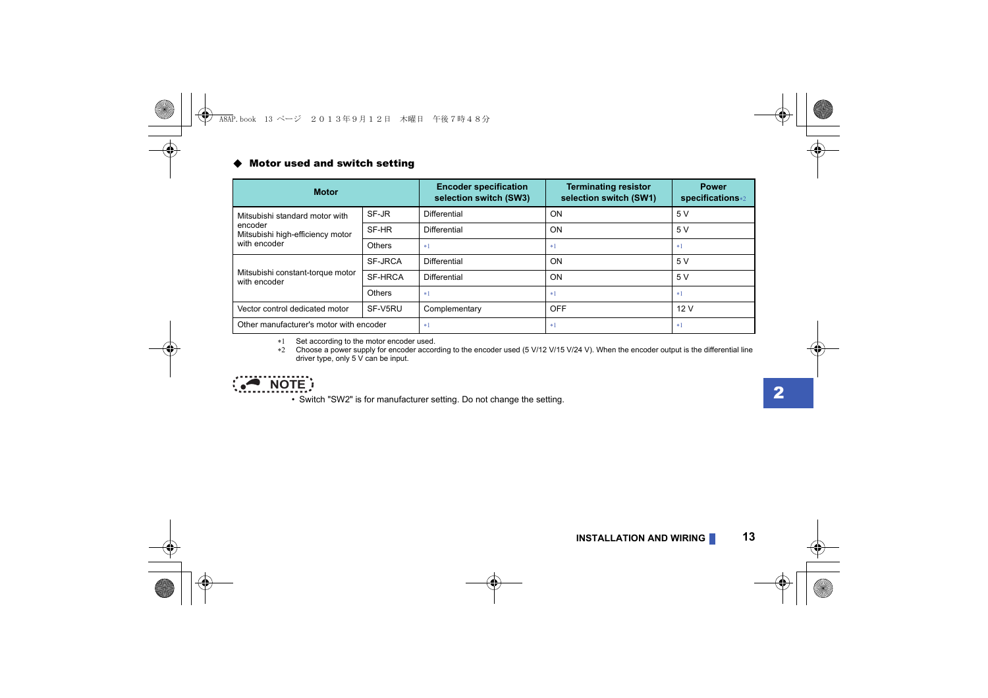#### ◆ Motor used and switch setting

| <b>Motor</b>                                     |         | <b>Encoder specification</b><br>selection switch (SW3) | <b>Terminating resistor</b><br>selection switch (SW1) | <b>Power</b><br>specifications*2 |
|--------------------------------------------------|---------|--------------------------------------------------------|-------------------------------------------------------|----------------------------------|
| Mitsubishi standard motor with                   | SF-JR   | <b>Differential</b>                                    | <b>ON</b>                                             | 5 V                              |
| encoder<br>Mitsubishi high-efficiency motor      | SF-HR   | <b>Differential</b>                                    | ON                                                    | 5V                               |
| with encoder                                     | Others  | $*1$                                                   | $*1$                                                  | $*1$                             |
|                                                  | SF-JRCA | <b>Differential</b>                                    | ON                                                    | 5V                               |
| Mitsubishi constant-torque motor<br>with encoder | SF-HRCA | Differential                                           | ON                                                    | 5 V                              |
|                                                  | Others  | $*1$                                                   | $*1$                                                  | $*1$                             |
| Vector control dedicated motor                   | SF-V5RU | Complementary                                          | OFF                                                   | 12V                              |
| Other manufacturer's motor with encoder          |         | $*1$                                                   | $*1$                                                  | $*1$                             |

\*1 Set according to the motor encoder used.

 Choose a power supply for encoder according to the encoder used (5 V/12 V/15 V/24 V). When the encoder output is the differential line driver type, only 5 V can be input.

<span id="page-11-1"></span><span id="page-11-0"></span>

• Switch "SW2" is for manufacturer setting. Do not change the setting.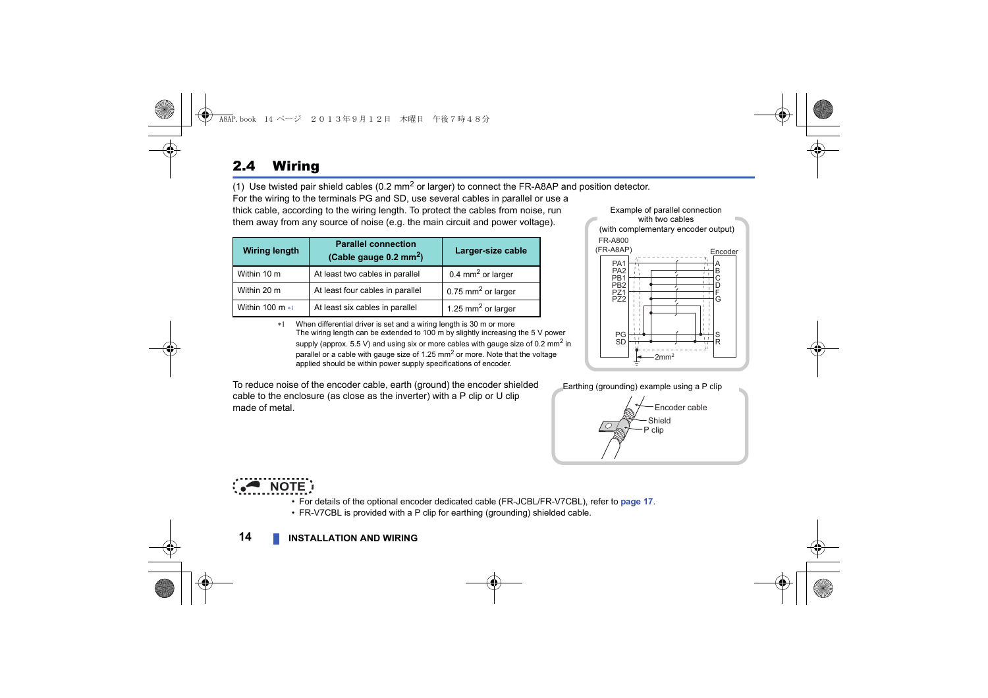## <span id="page-12-1"></span><span id="page-12-0"></span>2.4 Wiring

(1) Use twisted pair shield cables (0.2  $mm<sup>2</sup>$  or larger) to connect the FR-A8AP and position detector.

For the wiring to the terminals PG and SD, use several cables in parallel or use a thick cable, according to the wiring length. To protect the cables from noise, run them away from any source of noise (e.g. the main circuit and power voltage).

| <b>Wiring length</b> | <b>Parallel connection</b><br>(Cable gauge $0.2 \text{ mm}^2$ ) | Larger-size cable              |
|----------------------|-----------------------------------------------------------------|--------------------------------|
| Within 10 m          | At least two cables in parallel                                 | 0.4 mm <sup>2</sup> or larger  |
| Within 20 m          | At least four cables in parallel                                | 0.75 mm <sup>2</sup> or larger |
| Within 100 $m$ $*1$  | At least six cables in parallel                                 | 1.25 mm <sup>2</sup> or larger |

<span id="page-12-2"></span> When differential driver is set and a wiring length is 30 m or more The wiring length can be extended to 100 m by slightly increasing the 5 V power supply (approx.  $5.5$  V) and using six or more cables with gauge size of 0.2 mm<sup>2</sup> in parallel or a cable with gauge size of 1.25  $\text{mm}^2$  or more. Note that the voltage applied should be within power supply specifications of encoder.

To reduce noise of the encoder cable, earth (ground) the encoder shielded cable to the enclosure (as close as the inverter) with a P clip or U clip made of metal.







- For details of the optional encoder dedicated cable (FR-JCBL/FR-V7CBL), refer to **[page 17](#page-15-0)**.
- FR-V7CBL is provided with a P clip for earthing (grounding) shielded cable.

#### **14 [INSTALLATION AND WIRING](#page-7-0)**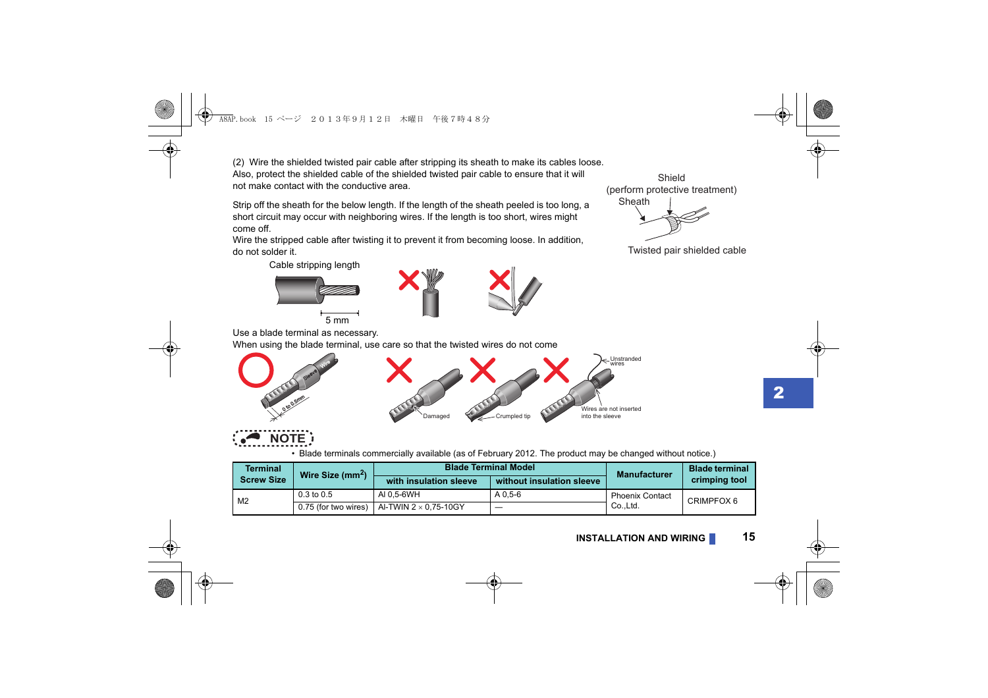<span id="page-13-1"></span><span id="page-13-0"></span>(2) Wire the shielded twisted pair cable after stripping its sheath to make its cables loose. Also, protect the shielded cable of the shielded twisted pair cable to ensure that it will not make contact with the conductive area.

Strip off the sheath for the below length. If the length of the sheath peeled is too long, a short circuit may occur with neighboring wires. If the length is too short, wires might come off.

Wire the stripped cable after twisting it to prevent it from becoming loose. In addition, do not solder it.

Cable stripping length



**Wire** Sleeve





Sheath Shield (perform protective treatment)

Twisted pair shielded cable

Use a blade terminal as necessary.

0 to 0.5mm

When using the blade terminal, use care so that the twisted wires do not come





• Blade terminals commercially available (as of February 2012. The product may be changed without notice.)

| <b>Terminal</b><br>Wire Size $(mm^2)$<br><b>Screw Size</b> |                       | <b>Blade Terminal Model</b>  |                           | <b>Manufacturer</b>    | <b>Blade terminal</b> |
|------------------------------------------------------------|-----------------------|------------------------------|---------------------------|------------------------|-----------------------|
|                                                            |                       | with insulation sleeve       | without insulation sleeve |                        | crimping tool         |
| M <sub>2</sub>                                             | $0.3 \text{ to } 0.5$ | AI 0.5-6WH                   | A 0.5-6                   | <b>Phoenix Contact</b> | CRIMPFOX 6            |
|                                                            | 0.75 (for two wires)  | Al-TWIN 2 $\times$ 0.75-10GY | —                         | CoLtd.                 |                       |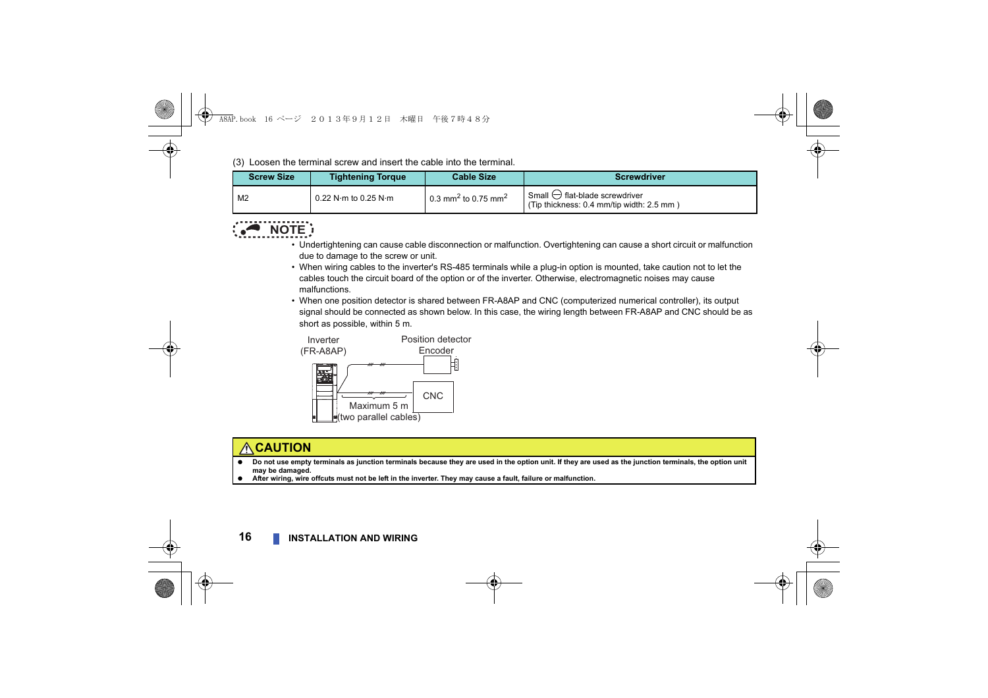(3) Loosen the terminal screw and insert the cable into the terminal.

| <b>Screw Size</b> | <b>Tightening Torque</b>               | <b>Cable Size</b>                           | <b>Screwdriver</b>                                                                  |
|-------------------|----------------------------------------|---------------------------------------------|-------------------------------------------------------------------------------------|
| M2                | $0.22$ N $\cdot$ m to 0.25 N $\cdot$ m | 0.3 mm <sup>2</sup> to 0.75 mm <sup>2</sup> | Small $\ominus$ flat-blade screwdriver<br>(Tip thickness: 0.4 mm/tip width: 2.5 mm) |



- Undertightening can cause cable disconnection or malfunction. Overtightening can cause a short circuit or malfunction due to damage to the screw or unit.
- When wiring cables to the inverter's RS-485 terminals while a plug-in option is mounted, take caution not to let the cables touch the circuit board of the option or of the inverter. Otherwise, electromagnetic noises may cause malfunctions.
- When one position detector is shared between FR-A8AP and CNC (computerized numerical controller), its output signal should be connected as shown below. In this case, the wiring length between FR-A8AP and CNC should be as short as possible, within 5 m.



### **CAUTION**

- **Do not use empty terminals as junction terminals because they are used in the option unit. If they are used as the junction terminals, the option unit may be damaged.**
- **After wiring, wire offcuts must not be left in the inverter. They may cause a fault, failure or malfunction.**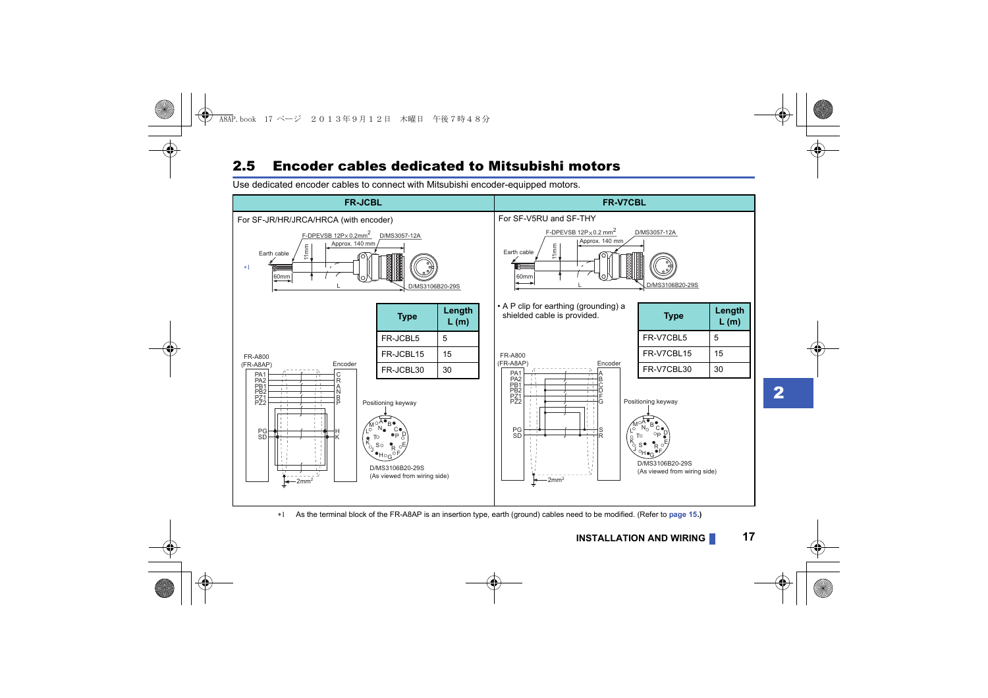### <span id="page-15-0"></span>2.5 Encoder cables dedicated to Mitsubishi motors

Use dedicated encoder cables to connect with Mitsubishi encoder-equipped motors.



<span id="page-15-1"></span>As the terminal block of the FR-A8AP is an insertion type, earth (ground) cables need to be modified. (Refer to **[page 15](#page-13-0).)**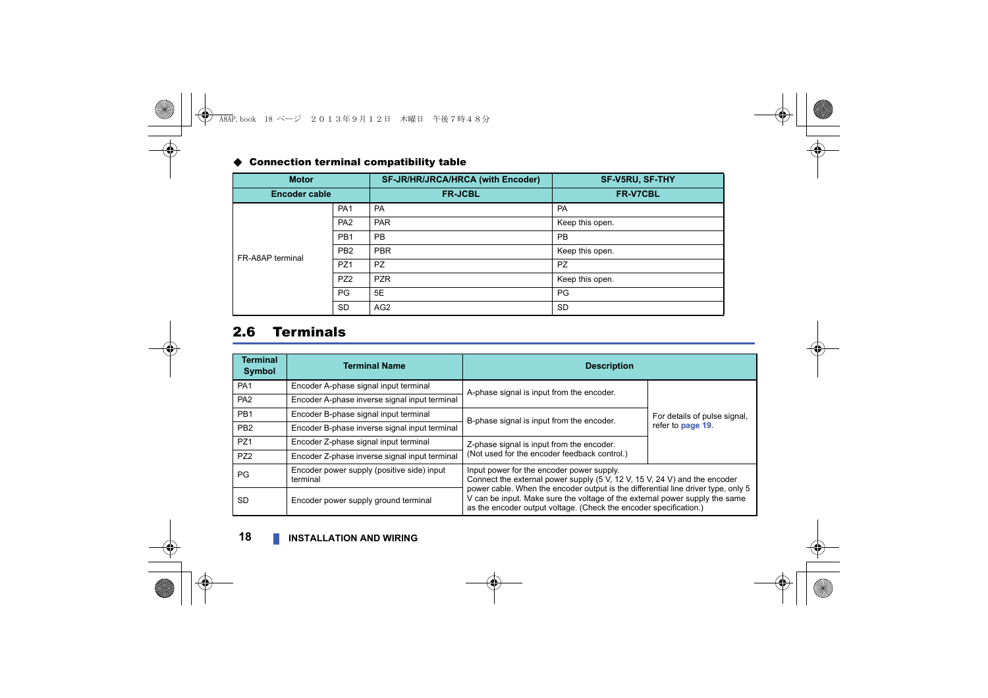#### <span id="page-16-1"></span>Connection terminal compatibility table

| <b>Motor</b>         |                 | SF-JR/HR/JRCA/HRCA (with Encoder) | <b>SF-V5RU, SF-THY</b> |
|----------------------|-----------------|-----------------------------------|------------------------|
| <b>Encoder cable</b> |                 | <b>FR-JCBL</b>                    | FR-V7CBL               |
|                      | PA <sub>1</sub> | <b>PA</b>                         | PA                     |
|                      | PA <sub>2</sub> | <b>PAR</b>                        | Keep this open.        |
|                      | PB <sub>1</sub> | PB                                | <b>PB</b>              |
| FR-A8AP terminal     | PB <sub>2</sub> | <b>PBR</b>                        | Keep this open.        |
|                      | PZ <sub>1</sub> | <b>PZ</b>                         | <b>PZ</b>              |
|                      | PZ <sub>2</sub> | <b>PZR</b>                        | Keep this open.        |
|                      | PG              | 5E                                | PG                     |
|                      | <b>SD</b>       | AG <sub>2</sub>                   | <b>SD</b>              |

### <span id="page-16-0"></span>2.6 Terminals

| <b>Terminal</b><br><b>Symbol</b> | <b>Terminal Name</b>                                   | <b>Description</b>                                                                                                                                                                                                                                                                                                                                              |                              |
|----------------------------------|--------------------------------------------------------|-----------------------------------------------------------------------------------------------------------------------------------------------------------------------------------------------------------------------------------------------------------------------------------------------------------------------------------------------------------------|------------------------------|
| PA <sub>1</sub>                  | Encoder A-phase signal input terminal                  | A-phase signal is input from the encoder.                                                                                                                                                                                                                                                                                                                       |                              |
| PA <sub>2</sub>                  | Encoder A-phase inverse signal input terminal          |                                                                                                                                                                                                                                                                                                                                                                 |                              |
| PB <sub>1</sub>                  | Encoder B-phase signal input terminal                  | B-phase signal is input from the encoder.                                                                                                                                                                                                                                                                                                                       | For details of pulse signal, |
| PB <sub>2</sub>                  | Encoder B-phase inverse signal input terminal          |                                                                                                                                                                                                                                                                                                                                                                 | refer to page 19.            |
| PZ <sub>1</sub>                  | Encoder Z-phase signal input terminal                  | Z-phase signal is input from the encoder.                                                                                                                                                                                                                                                                                                                       |                              |
| PZ <sub>2</sub>                  | Encoder Z-phase inverse signal input terminal          | (Not used for the encoder feedback control.)                                                                                                                                                                                                                                                                                                                    |                              |
| PG                               | Encoder power supply (positive side) input<br>terminal | Input power for the encoder power supply.<br>Connect the external power supply (5 V, 12 V, 15 V, 24 V) and the encoder<br>power cable. When the encoder output is the differential line driver type, only 5<br>V can be input. Make sure the voltage of the external power supply the same<br>as the encoder output voltage. (Check the encoder specification.) |                              |
| <b>SD</b>                        | Encoder power supply ground terminal                   |                                                                                                                                                                                                                                                                                                                                                                 |                              |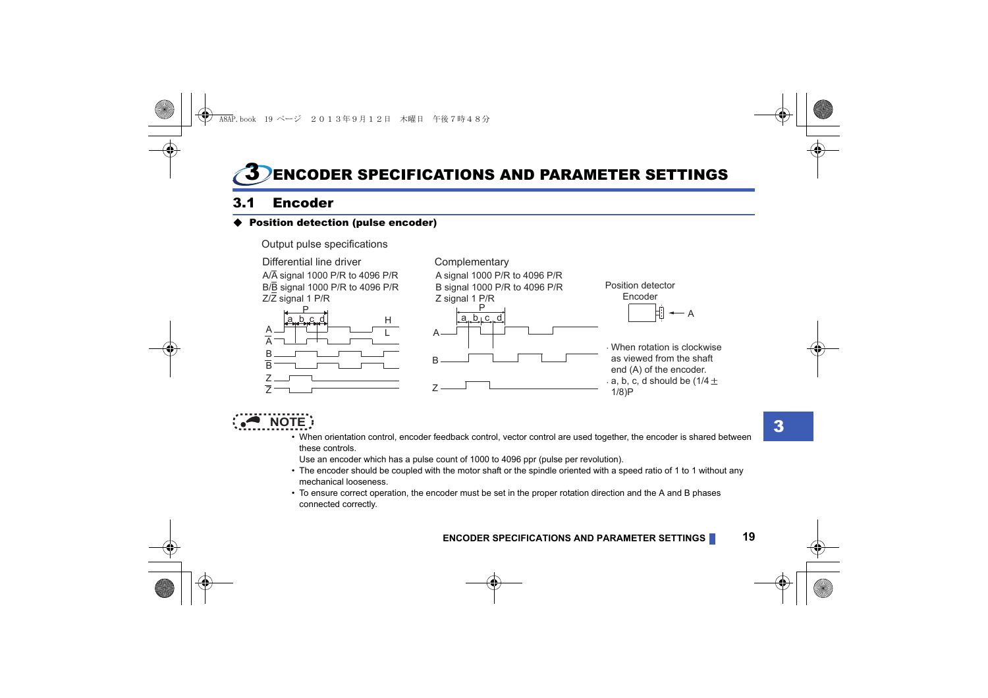## <span id="page-17-1"></span><span id="page-17-0"></span>3 ENCODER SPECIFICATIONS AND PARAMETER SETTINGS

## <span id="page-17-3"></span><span id="page-17-2"></span>3.1 Encoder

#### Position detection (pulse encoder)



## **NOTE**

 • When orientation control, encoder feedback control, vector control are used together, the encoder is shared between these controls.

Use an encoder which has a pulse count of 1000 to 4096 ppr (pulse per revolution).

- The encoder should be coupled with the motor shaft or the spindle oriented with a speed ratio of 1 to 1 without any mechanical looseness.
- To ensure correct operation, the encoder must be set in the proper rotation direction and the A and B phases connected correctly.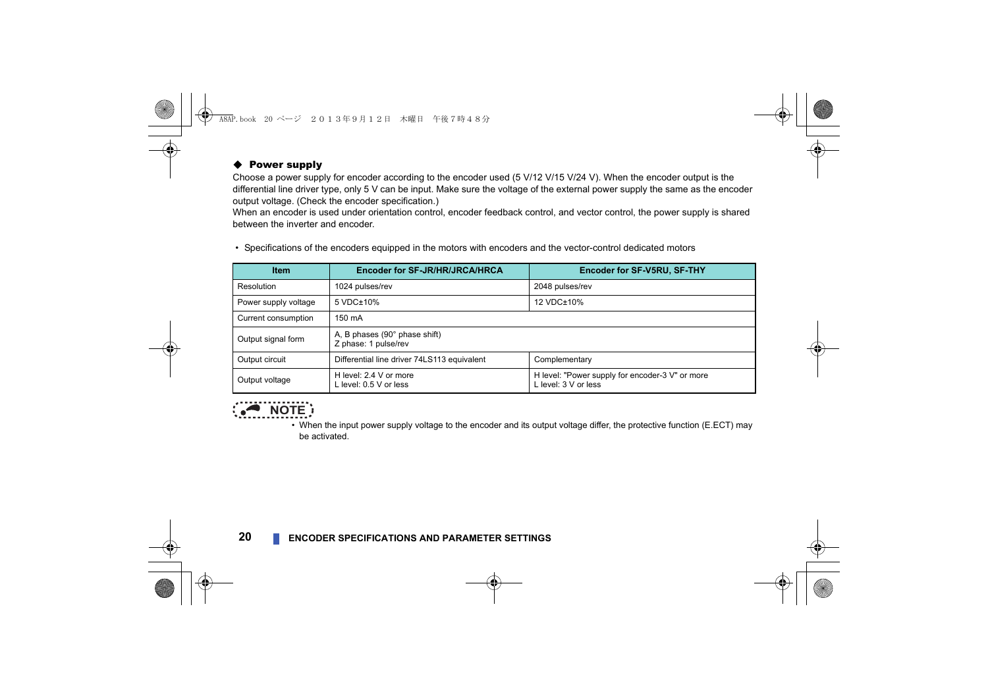#### ♦ Power supply

Choose a power supply for encoder according to the encoder used (5 V/12 V/15 V/24 V). When the encoder output is the differential line driver type, only 5 V can be input. Make sure the voltage of the external power supply the same as the encoder output voltage. (Check the encoder specification.)

When an encoder is used under orientation control, encoder feedback control, and vector control, the power supply is shared between the inverter and encoder.

• Specifications of the encoders equipped in the motors with encoders and the vector-control dedicated motors

| <b>Item</b>          | Encoder for SF-JR/HR/JRCA/HRCA                        | Encoder for SF-V5RU, SF-THY                                             |
|----------------------|-------------------------------------------------------|-------------------------------------------------------------------------|
| Resolution           | 1024 pulses/rev                                       | 2048 pulses/rev                                                         |
| Power supply voltage | 5 VDC±10%                                             | 12 VDC±10%                                                              |
| Current consumption  | 150 mA                                                |                                                                         |
| Output signal form   | A, B phases (90° phase shift)<br>Z phase: 1 pulse/rev |                                                                         |
| Output circuit       | Differential line driver 74LS113 equivalent           | Complementary                                                           |
| Output voltage       | H level: 2.4 V or more<br>L level: 0.5 V or less      | H level: "Power supply for encoder-3 V" or more<br>L level: 3 V or less |



 • When the input power supply voltage to the encoder and its output voltage differ, the protective function (E.ECT) may be activated.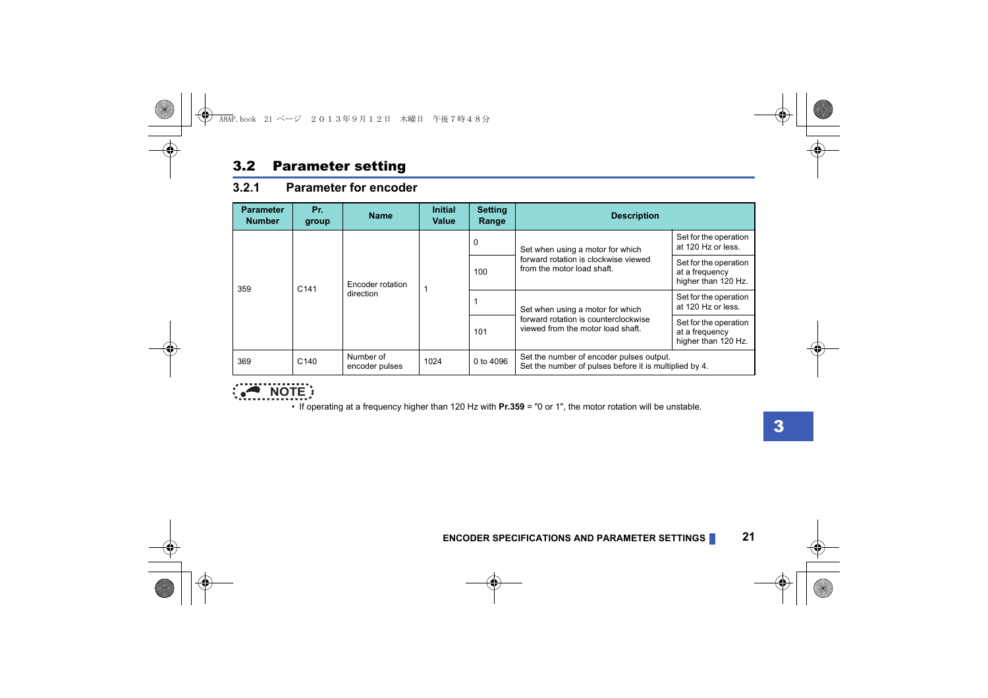### <span id="page-19-0"></span>3.2 Parameter setting

#### <span id="page-19-1"></span>**3.2.1 Parameter for encoder**

| <b>Parameter</b><br><b>Number</b> | Pr.<br>group     | <b>Name</b>                   | <b>Initial</b><br>Value | <b>Setting</b><br>Range | <b>Description</b>                                                                                                                                                                                                      |                                                                |
|-----------------------------------|------------------|-------------------------------|-------------------------|-------------------------|-------------------------------------------------------------------------------------------------------------------------------------------------------------------------------------------------------------------------|----------------------------------------------------------------|
| 359                               | C <sub>141</sub> | Encoder rotation<br>direction |                         | $\mathbf 0$             | Set when using a motor for which<br>forward rotation is clockwise viewed<br>from the motor load shaft.<br>Set when using a motor for which<br>forward rotation is counterclockwise<br>viewed from the motor load shaft. | Set for the operation<br>at 120 Hz or less.                    |
|                                   |                  |                               |                         | 100                     |                                                                                                                                                                                                                         | Set for the operation<br>at a frequency<br>higher than 120 Hz. |
|                                   |                  |                               |                         |                         |                                                                                                                                                                                                                         | Set for the operation<br>at 120 Hz or less.                    |
|                                   |                  |                               |                         | 101                     |                                                                                                                                                                                                                         | Set for the operation<br>at a frequency<br>higher than 120 Hz. |
| 369                               | C <sub>140</sub> | Number of<br>encoder pulses   | 1024                    | 0 to 4096               | Set the number of encoder pulses output.<br>Set the number of pulses before it is multiplied by 4.                                                                                                                      |                                                                |



• If operating at a frequency higher than 120 Hz with **Pr.359** = "0 or 1", the motor rotation will be unstable.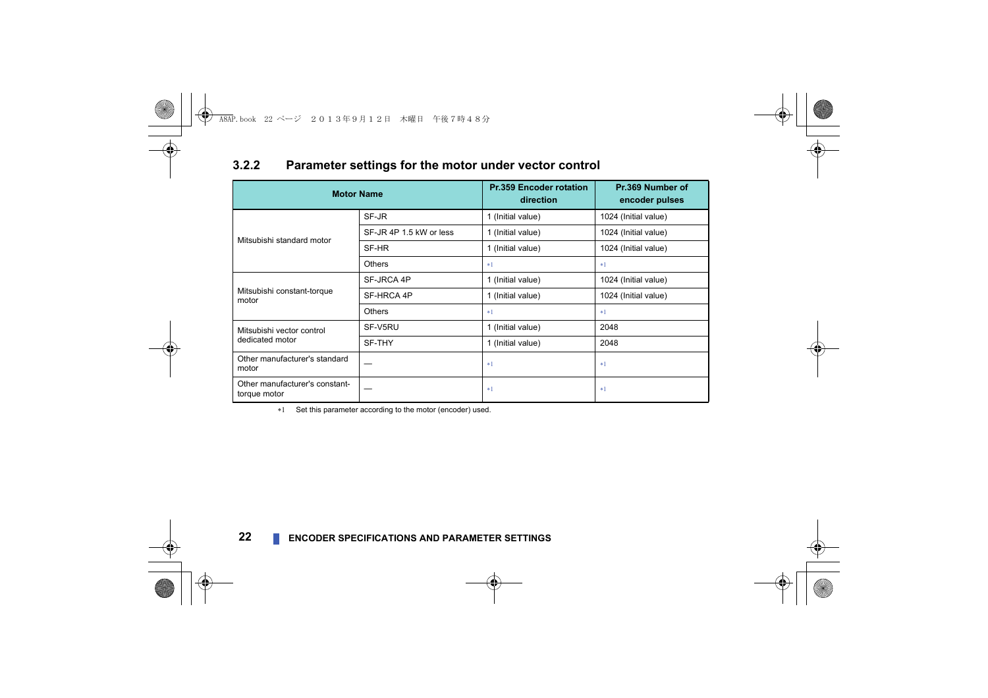#### <span id="page-20-0"></span>**3.2.2 Parameter settings for the motor under vector control**

| <b>Motor Name</b>                              |                         | <b>Pr.359 Encoder rotation</b><br>direction | Pr.369 Number of<br>encoder pulses |
|------------------------------------------------|-------------------------|---------------------------------------------|------------------------------------|
|                                                | SF-JR                   | 1 (Initial value)                           | 1024 (Initial value)               |
| Mitsubishi standard motor                      | SF-JR 4P 1.5 kW or less | 1 (Initial value)                           | 1024 (Initial value)               |
|                                                | SF-HR                   | 1 (Initial value)                           | 1024 (Initial value)               |
|                                                | Others                  | $*1$                                        | $*1$                               |
|                                                | SF-JRCA 4P              | 1 (Initial value)                           | 1024 (Initial value)               |
| Mitsubishi constant-torque<br>motor            | SF-HRCA 4P              | 1 (Initial value)                           | 1024 (Initial value)               |
|                                                | Others                  | $*1$                                        | $*1$                               |
| Mitsubishi vector control                      | SF-V5RU                 | 1 (Initial value)                           | 2048                               |
| dedicated motor                                | SF-THY                  | 1 (Initial value)                           | 2048                               |
| Other manufacturer's standard<br>motor         |                         | $*1$                                        | $*1$                               |
| Other manufacturer's constant-<br>torque motor |                         | $*1$                                        | $*1$                               |

<span id="page-20-1"></span>\*1 Set this parameter according to the motor (encoder) used.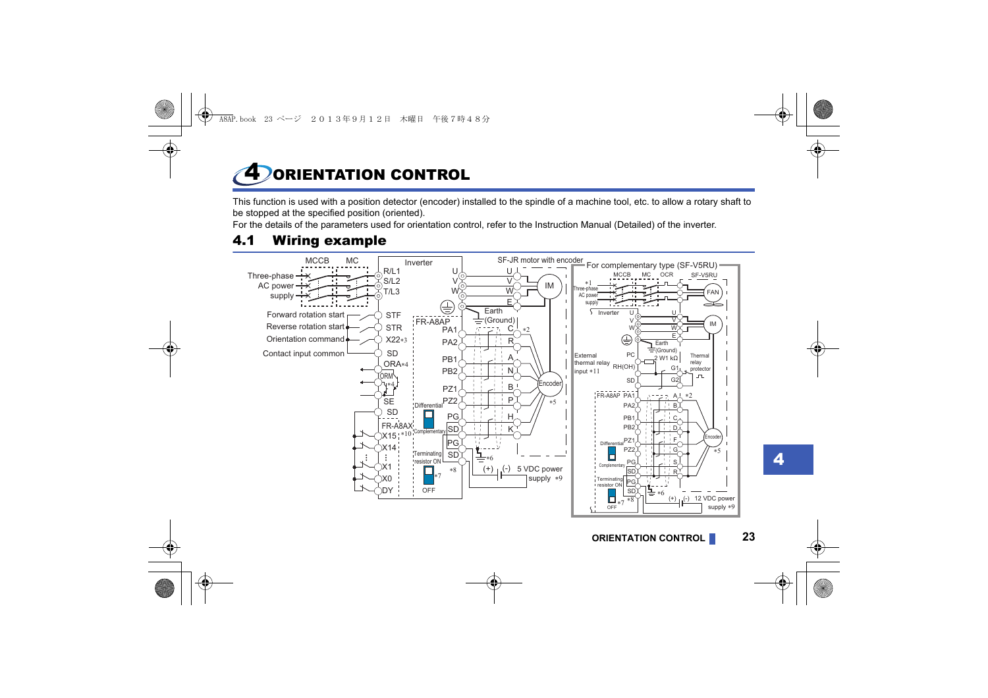# <span id="page-21-1"></span><span id="page-21-0"></span>**DORIENTATION CONTROL**

This function is used with a position detector (encoder) installed to the spindle of a machine tool, etc. to allow a rotary shaft to be stopped at the specified position (oriented).

For the details of the parameters used for orientation control, refer to the Instruction Manual (Detailed) of the inverter.

## <span id="page-21-2"></span>4.1 Wiring example

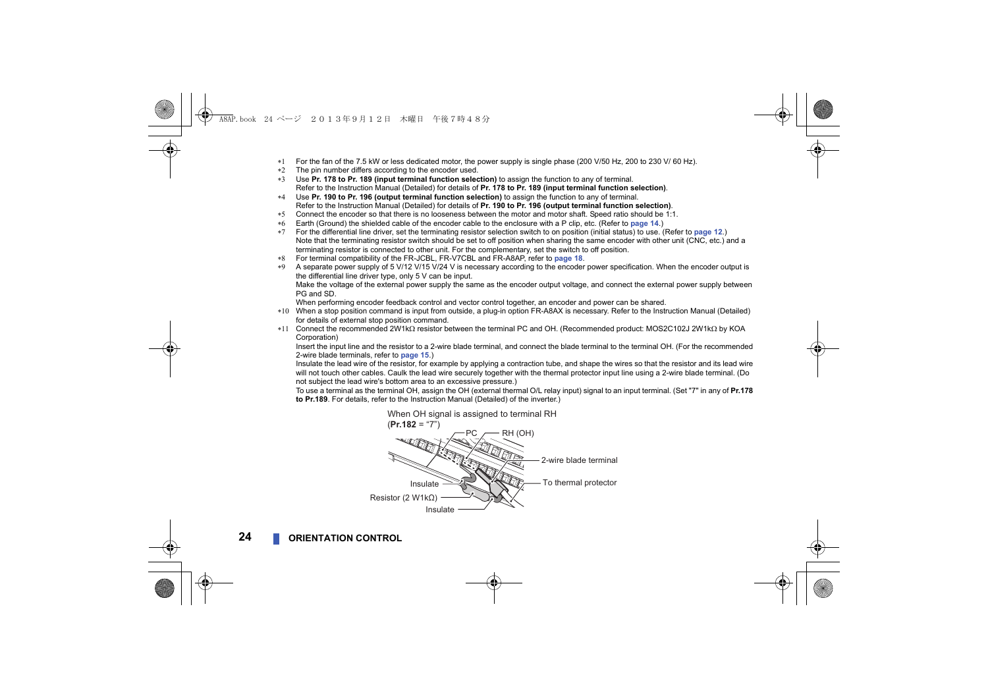- For the fan of the 7.5 kW or less dedicated motor, the power supply is single phase (200 V/50 Hz, 200 to 230 V/ 60 Hz).
- $*2$  The pin number differs according to the encoder used.
- Use **Pr. 178 to Pr. 189 (input terminal function selection)** to assign the function to any of terminal. Refer to the Instruction Manual (Detailed) for details of **Pr. 178 to Pr. 189 (input terminal function selection)**.
- Use **Pr. 190 to Pr. 196 (output terminal function selection)** to assign the function to any of terminal. Refer to the Instruction Manual (Detailed) for details of **Pr. 190 to Pr. 196 (output terminal function selection)**.
- \*5 Connect the encoder so that there is no looseness between the motor and motor shaft. Speed ratio should be 1:1.
- Earth (Ground) the shielded cable of the encoder cable to the enclosure with a P clip, etc. (Refer to **[page 14](#page-12-1)**.)
- For the differential line driver, set the terminating resistor selection switch to on position (initial status) to use. (Refer to **[page 12](#page-10-1)**.) Note that the terminating resistor switch should be set to off position when sharing the same encoder with other unit (CNC, etc.) and a terminating resistor is connected to other unit. For the complementary, set the switch to off position.
- For terminal compatibility of the FR-JCBL, FR-V7CBL and FR-A8AP, refer to **[page 18](#page-16-1)**.
- A separate power supply of 5 V/12 V/15 V/24 V is necessary according to the encoder power specification. When the encoder output is the differential line driver type, only 5 V can be input.

Make the voltage of the external power supply the same as the encoder output voltage, and connect the external power supply between PG and SD.

When performing encoder feedback control and vector control together, an encoder and power can be shared.

- When a stop position command is input from outside, a plug-in option FR-A8AX is necessary. Refer to the Instruction Manual (Detailed) for details of external stop position command.
- $*11$  Connect the recommended 2W1k $\Omega$  resistor between the terminal PC and OH. (Recommended product: MOS2C102J 2W1k $\Omega$  by KOA Corporation)

Insert the input line and the resistor to a 2-wire blade terminal, and connect the blade terminal to the terminal OH. (For the recommended 2-wire blade terminals, refer to **[page 15](#page-13-1)**.)

Insulate the lead wire of the resistor, for example by applying a contraction tube, and shape the wires so that the resistor and its lead wire will not touch other cables. Caulk the lead wire securely together with the thermal protector input line using a 2-wire blade terminal. (Do not subject the lead wire's bottom area to an excessive pressure.)

To use a terminal as the terminal OH, assign the OH (external thermal O/L relay input) signal to an input terminal. (Set "7" in any of **Pr.178 to Pr.189**. For details, refer to the Instruction Manual (Detailed) of the inverter.)

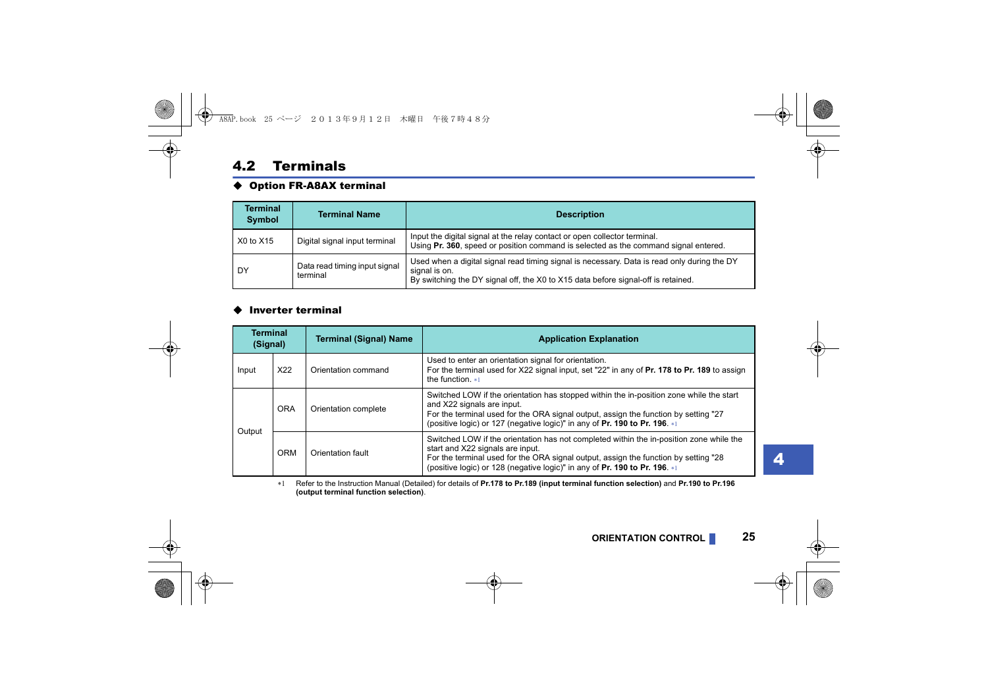#### <span id="page-23-0"></span>4.2 Terminals

#### ◆ Option FR-A8AX terminal

| <b>Terminal</b><br><b>Symbol</b> | <b>Terminal Name</b>                      | <b>Description</b>                                                                                                                                                                                |
|----------------------------------|-------------------------------------------|---------------------------------------------------------------------------------------------------------------------------------------------------------------------------------------------------|
| X0 to X15                        | Digital signal input terminal             | Input the digital signal at the relay contact or open collector terminal.<br>Using Pr. 360, speed or position command is selected as the command signal entered.                                  |
| DY                               | Data read timing input signal<br>terminal | Used when a digital signal read timing signal is necessary. Data is read only during the DY<br>signal is on.<br>By switching the DY signal off, the X0 to X15 data before signal-off is retained. |

#### $\triangle$  Inverter terminal

| <b>Terminal</b><br>(Signal) |     | <b>Terminal (Signal) Name</b> | <b>Application Explanation</b>                                                                                                                                                                                                                                                                   |  |
|-----------------------------|-----|-------------------------------|--------------------------------------------------------------------------------------------------------------------------------------------------------------------------------------------------------------------------------------------------------------------------------------------------|--|
| Input                       | X22 | Orientation command           | Used to enter an orientation signal for orientation.<br>For the terminal used for X22 signal input, set "22" in any of Pr. 178 to Pr. 189 to assign<br>the function. $*1$                                                                                                                        |  |
| <b>ORA</b><br>Output<br>ORM |     | Orientation complete          | Switched LOW if the orientation has stopped within the in-position zone while the start<br>and X22 signals are input.<br>For the terminal used for the ORA signal output, assign the function by setting "27<br>(positive logic) or 127 (negative logic)" in any of Pr. 190 to Pr. 196. *1       |  |
|                             |     | Orientation fault             | Switched LOW if the orientation has not completed within the in-position zone while the<br>start and X22 signals are input.<br>For the terminal used for the ORA signal output, assign the function by setting "28<br>(positive logic) or 128 (negative logic)" in any of Pr. 190 to Pr. 196. *1 |  |

<span id="page-23-1"></span> Refer to the Instruction Manual (Detailed) for details of **Pr.178 to Pr.189 (input terminal function selection)** and **Pr.190 to Pr.196 (output terminal function selection)**.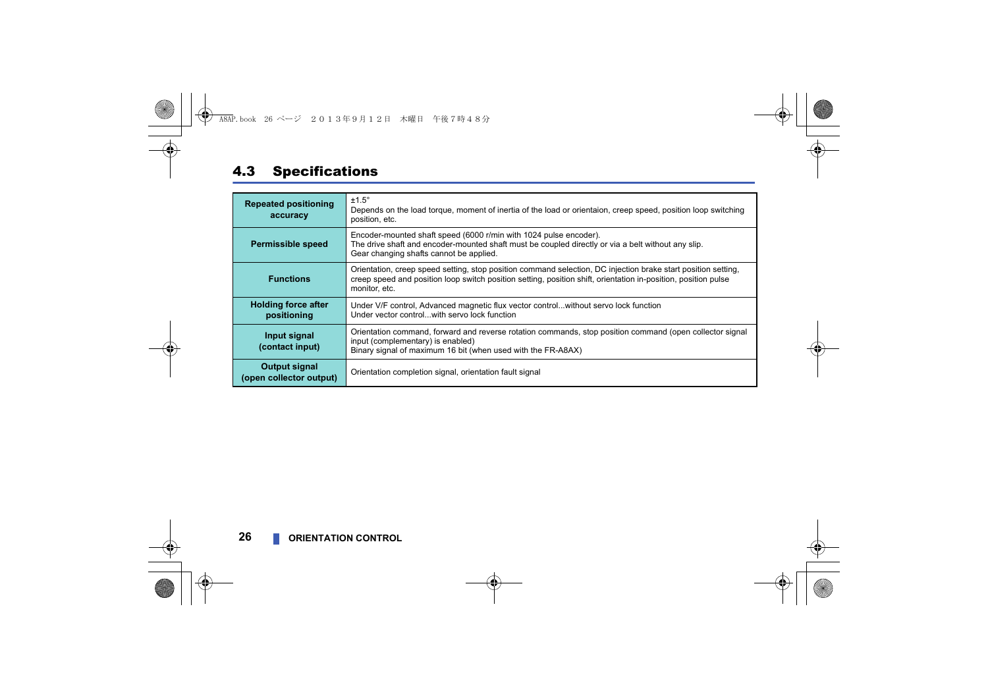## <span id="page-24-0"></span>4.3 Specifications

| <b>Repeated positioning</b><br>accuracy   | $±1.5^\circ$<br>Depends on the load torque, moment of inertia of the load or orientaion, creep speed, position loop switching<br>position, etc.                                                                                                  |
|-------------------------------------------|--------------------------------------------------------------------------------------------------------------------------------------------------------------------------------------------------------------------------------------------------|
| <b>Permissible speed</b>                  | Encoder-mounted shaft speed (6000 r/min with 1024 pulse encoder).<br>The drive shaft and encoder-mounted shaft must be coupled directly or via a belt without any slip.<br>Gear changing shafts cannot be applied.                               |
| <b>Functions</b>                          | Orientation, creep speed setting, stop position command selection, DC injection brake start position setting,<br>creep speed and position loop switch position setting, position shift, orientation in-position, position pulse<br>monitor, etc. |
| <b>Holding force after</b><br>positioning | Under V/F control, Advanced magnetic flux vector controlwithout servo lock function<br>Under vector controlwith servo lock function                                                                                                              |
| Input signal<br>(contact input)           | Orientation command, forward and reverse rotation commands, stop position command (open collector signal<br>input (complementary) is enabled)<br>Binary signal of maximum 16 bit (when used with the FR-A8AX)                                    |
| Output signal<br>(open collector output)  | Orientation completion signal, orientation fault signal                                                                                                                                                                                          |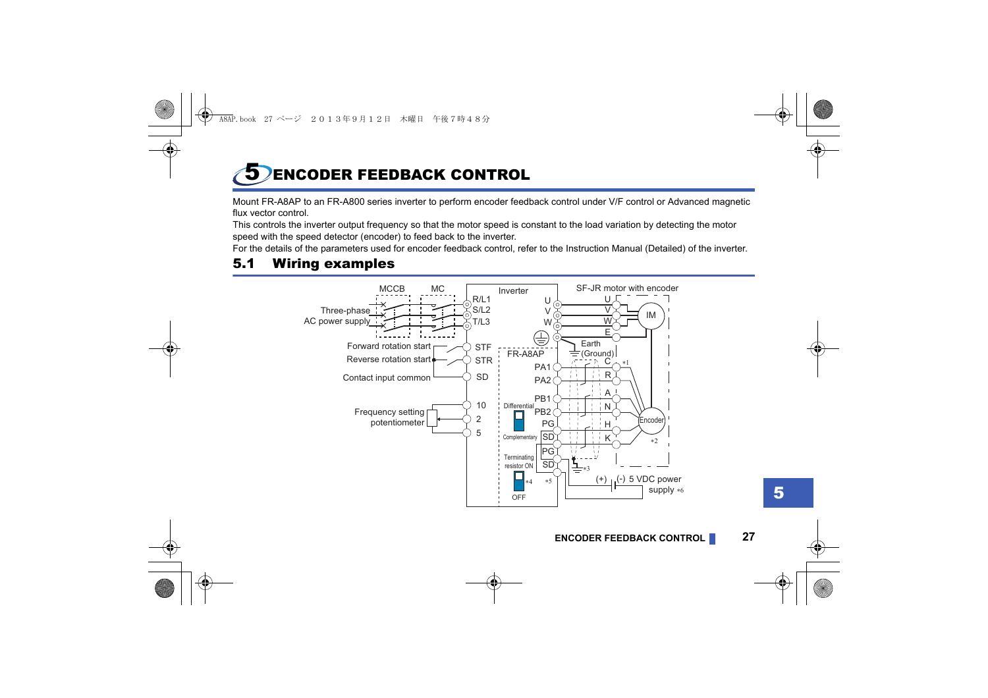## <span id="page-25-1"></span><span id="page-25-0"></span>5 ENCODER FEEDBACK CONTROL

Mount FR-A8AP to an FR-A800 series inverter to perform encoder feedback control under V/F control or Advanced magnetic flux vector control.

This controls the inverter output frequency so that the motor speed is constant to the load variation by detecting the motor speed with the speed detector (encoder) to feed back to the inverter.

For the details of the parameters used for encoder feedback control, refer to the Instruction Manual (Detailed) of the inverter.

## <span id="page-25-2"></span>5.1 Wiring examples

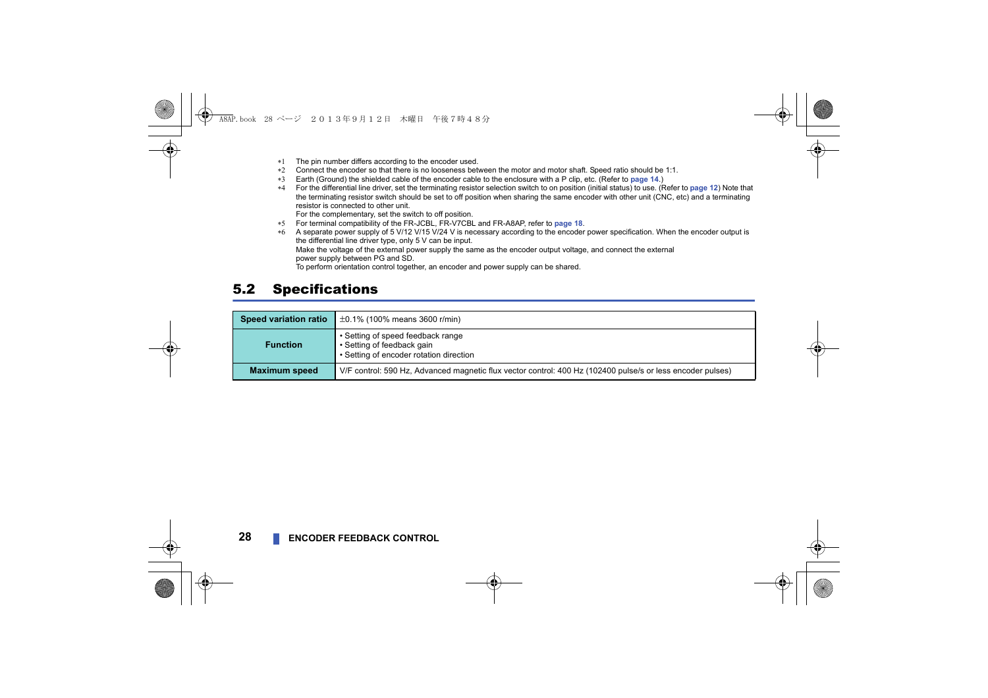- \*1 The pin number differs according to the encoder used.
- \*2. Connect the encoder so that there is no looseness between the motor and motor shaft. Speed ratio should be 1:1.
- Earth (Ground) the shielded cable of the encoder cable to the enclosure with a P clip, etc. (Refer to **[page 14](#page-12-1)**.)
- For the differential line driver, set the terminating resistor selection switch to on position (initial status) to use. (Refer to **[page 12](#page-10-1)**) Note that the terminating resistor switch should be set to off position when sharing the same encoder with other unit (CNC, etc) and a terminating resistor is connected to other unit.

For the complementary, set the switch to off position.

- For terminal compatibility of the FR-JCBL, FR-V7CBL and FR-A8AP, refer to **[page 18](#page-16-1)**.
- A separate power supply of 5 V/12 V/15 V/24 V is necessary according to the encoder power specification. When the encoder output is the differential line driver type, only 5 V can be input. Make the voltage of the external power supply the same as the encoder output voltage, and connect the external power supply between PG and SD. To perform orientation control together, an encoder and power supply can be shared.

### <span id="page-26-0"></span>5.2 Specifications

| <b>Speed variation ratio</b> | $\pm$ 0.1% (100% means 3600 r/min)                                                                         |  |  |
|------------------------------|------------------------------------------------------------------------------------------------------------|--|--|
| <b>Function</b>              | • Setting of speed feedback range<br>• Setting of feedback gain<br>• Setting of encoder rotation direction |  |  |
| <b>Maximum speed</b>         | V/F control: 590 Hz, Advanced magnetic flux vector control: 400 Hz (102400 pulse/s or less encoder pulses) |  |  |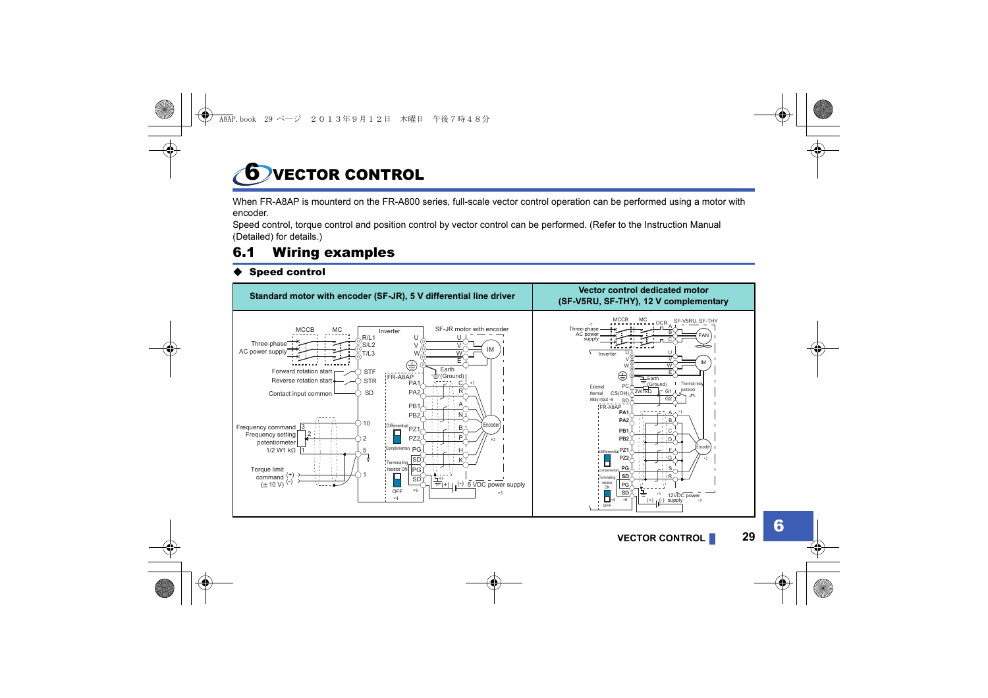<span id="page-27-1"></span><span id="page-27-0"></span>**6** VECTOR CONTROL

When FR-A8AP is mounterd on the FR-A800 series, full-scale vector control operation can be performed using a motor with encoder.

Speed control, torque control and position control by vector control can be performed. (Refer to the Instruction Manual (Detailed) for details.)

## <span id="page-27-2"></span>6.1 Wiring examples

#### Speed control

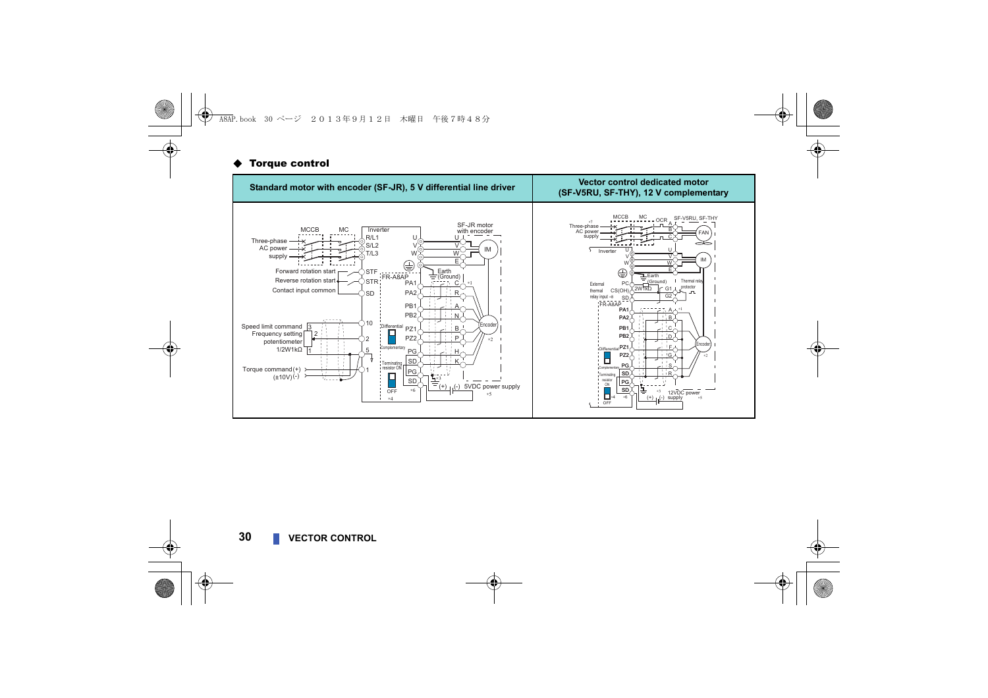#### **Torque control**

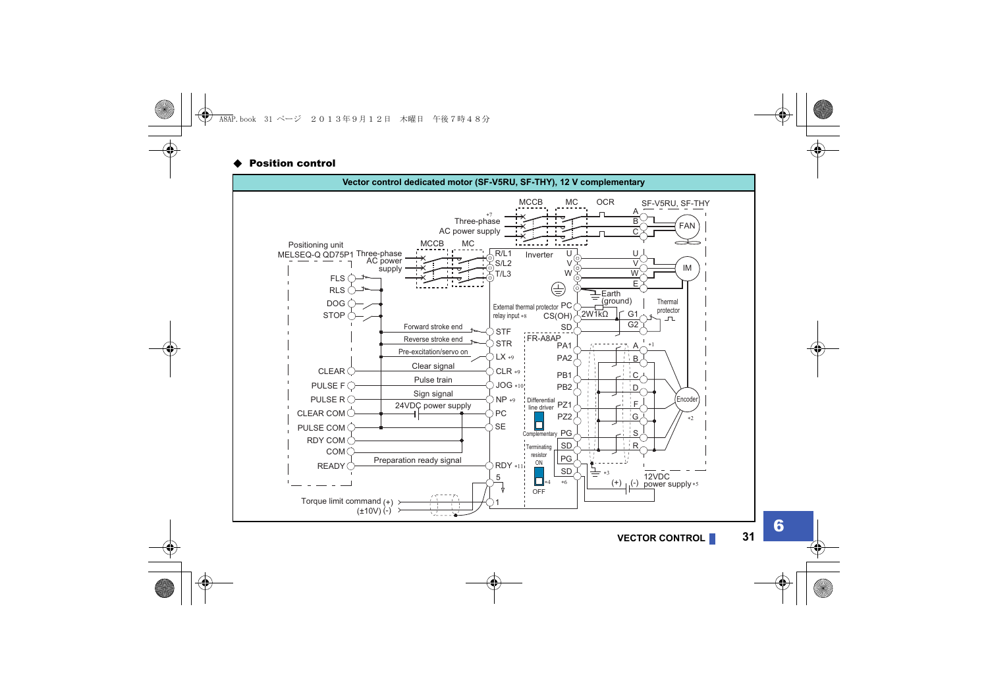#### Position control

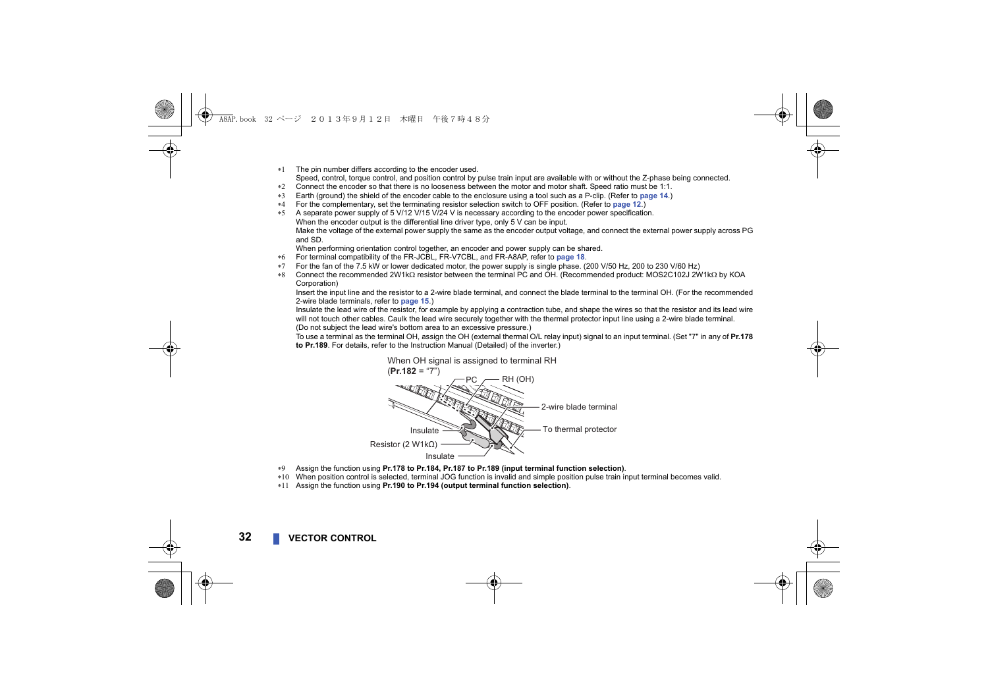The pin number differs according to the encoder used.

Speed, control, torque control, and position control by pulse train input are available with or without the Z-phase being connected.

- Connect the encoder so that there is no looseness between the motor and motor shaft. Speed ratio must be 1:1.
- Earth (ground) the shield of the encoder cable to the enclosure using a tool such as a P-clip. (Refer to **[page 14](#page-12-1)**.)
- For the complementary, set the terminating resistor selection switch to OFF position. (Refer to **[page 12](#page-10-1)**.)
- A separate power supply of 5 V/12 V/15 V/24 V is necessary according to the encoder power specification. When the encoder output is the differential line driver type, only 5 V can be input. Make the voltage of the external power supply the same as the encoder output voltage, and connect the external power supply across PG and SD.

When performing orientation control together, an encoder and power supply can be shared.

- For terminal compatibility of the FR-JCBL, FR-V7CBL, and FR-A8AP, refer to **[page 18](#page-16-1)**.
- For the fan of the 7.5 kW or lower dedicated motor, the power supply is single phase. (200 V/50 Hz, 200 to 230 V/60 Hz)
- \*8 Connect the recommended 2W1kQ resistor between the terminal PC and OH. (Recommended product: MOS2C102J 2W1kQ by KOA Corporation)

Insert the input line and the resistor to a 2-wire blade terminal, and connect the blade terminal to the terminal OH. (For the recommended 2-wire blade terminals, refer to **[page 15](#page-13-1)**.)

Insulate the lead wire of the resistor, for example by applying a contraction tube, and shape the wires so that the resistor and its lead wire will not touch other cables. Caulk the lead wire securely together with the thermal protector input line using a 2-wire blade terminal. (Do not subject the lead wire's bottom area to an excessive pressure.)

To use a terminal as the terminal OH, assign the OH (external thermal O/L relay input) signal to an input terminal. (Set "7" in any of **Pr.178 to Pr.189**. For details, refer to the Instruction Manual (Detailed) of the inverter.)



- Assign the function using **Pr.178 to Pr.184, Pr.187 to Pr.189 (input terminal function selection)**.
- When position control is selected, terminal JOG function is invalid and simple position pulse train input terminal becomes valid.
- Assign the function using **Pr.190 to Pr.194 (output terminal function selection)**.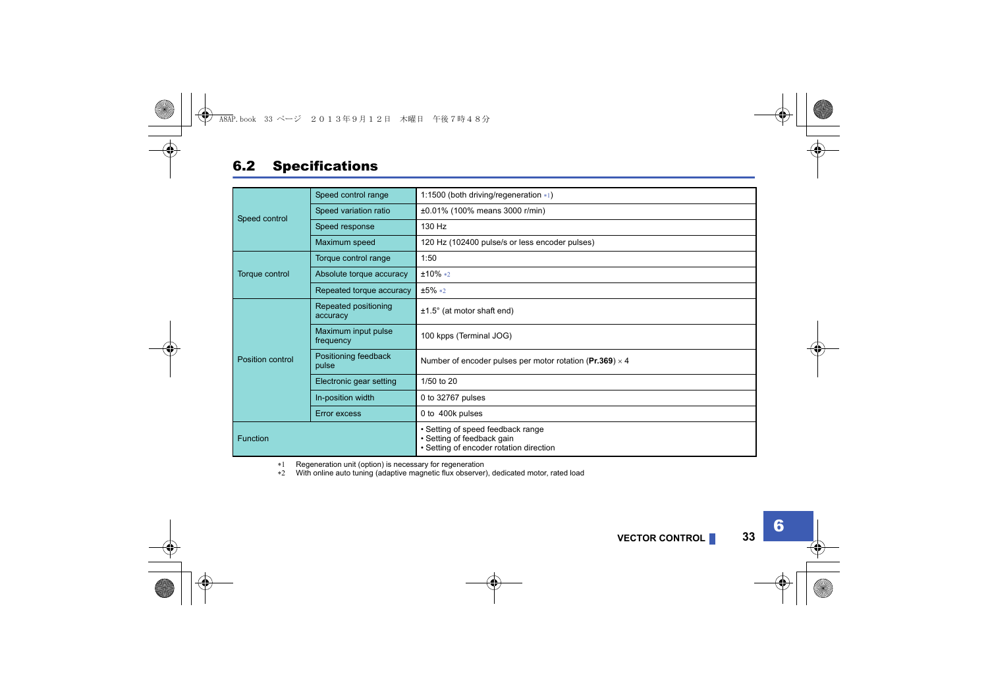### <span id="page-31-0"></span>6.2 Specifications

| Speed control    | Speed control range              | 1:1500 (both driving/regeneration *1)                                                                      |  |
|------------------|----------------------------------|------------------------------------------------------------------------------------------------------------|--|
|                  | Speed variation ratio            | ±0.01% (100% means 3000 r/min)                                                                             |  |
|                  | Speed response                   | 130 Hz                                                                                                     |  |
|                  | Maximum speed                    | 120 Hz (102400 pulse/s or less encoder pulses)                                                             |  |
|                  | Torque control range             | 1:50                                                                                                       |  |
| Torque control   | Absolute torque accuracy         | $±10\%*2$                                                                                                  |  |
|                  | Repeated torque accuracy         | $±5\%*2$                                                                                                   |  |
|                  | Repeated positioning<br>accuracy | $±1.5^\circ$ (at motor shaft end)                                                                          |  |
|                  | Maximum input pulse<br>frequency | 100 kpps (Terminal JOG)                                                                                    |  |
| Position control | Positioning feedback<br>pulse    | Number of encoder pulses per motor rotation (Pr.369) $\times$ 4                                            |  |
|                  | Electronic gear setting          | 1/50 to 20                                                                                                 |  |
|                  | In-position width                | 0 to 32767 pulses                                                                                          |  |
|                  | <b>Error excess</b>              | 0 to 400k pulses                                                                                           |  |
| <b>Function</b>  |                                  | • Setting of speed feedback range<br>• Setting of feedback gain<br>• Setting of encoder rotation direction |  |

<span id="page-31-1"></span>\*1 Regeneration unit (option) is necessary for regeneration

<span id="page-31-2"></span>\*2 With online auto tuning (adaptive magnetic flux observer), dedicated motor, rated load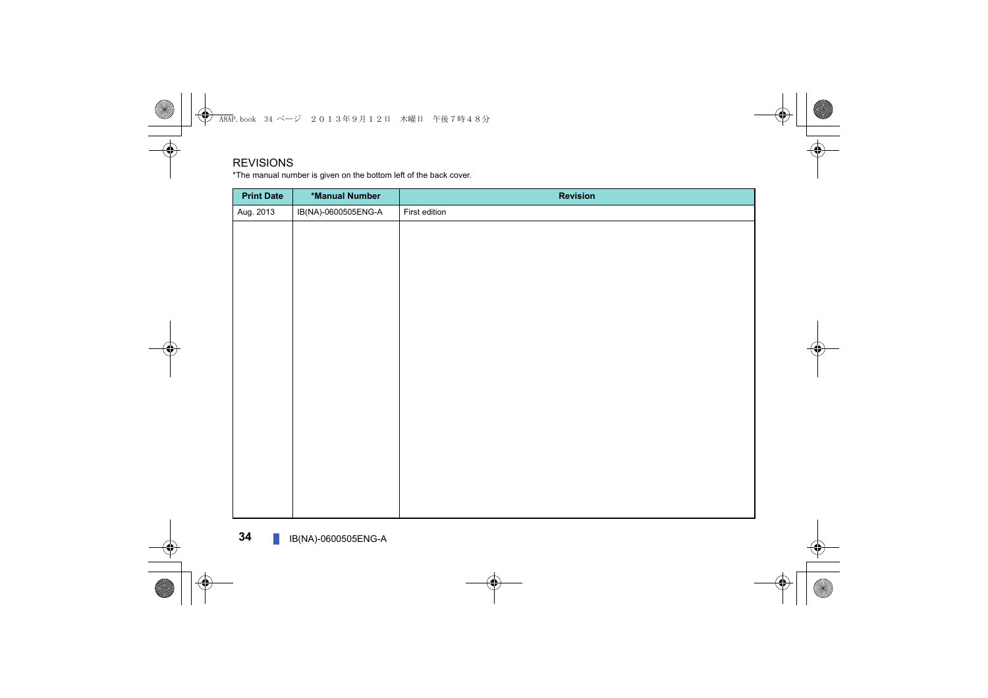#### REVISIONS

\*The manual number is given on the bottom left of the back cover.

<span id="page-32-1"></span><span id="page-32-0"></span>

| *Manual Number      | <b>Revision</b> |
|---------------------|-----------------|
| IB(NA)-0600505ENG-A | First edition   |
|                     |                 |
|                     |                 |
|                     |                 |
|                     |                 |
|                     |                 |
|                     |                 |
|                     |                 |
|                     |                 |
|                     |                 |
|                     |                 |
|                     |                 |
|                     |                 |
|                     |                 |
|                     |                 |
|                     |                 |
|                     |                 |
|                     |                 |
|                     |                 |
|                     |                 |